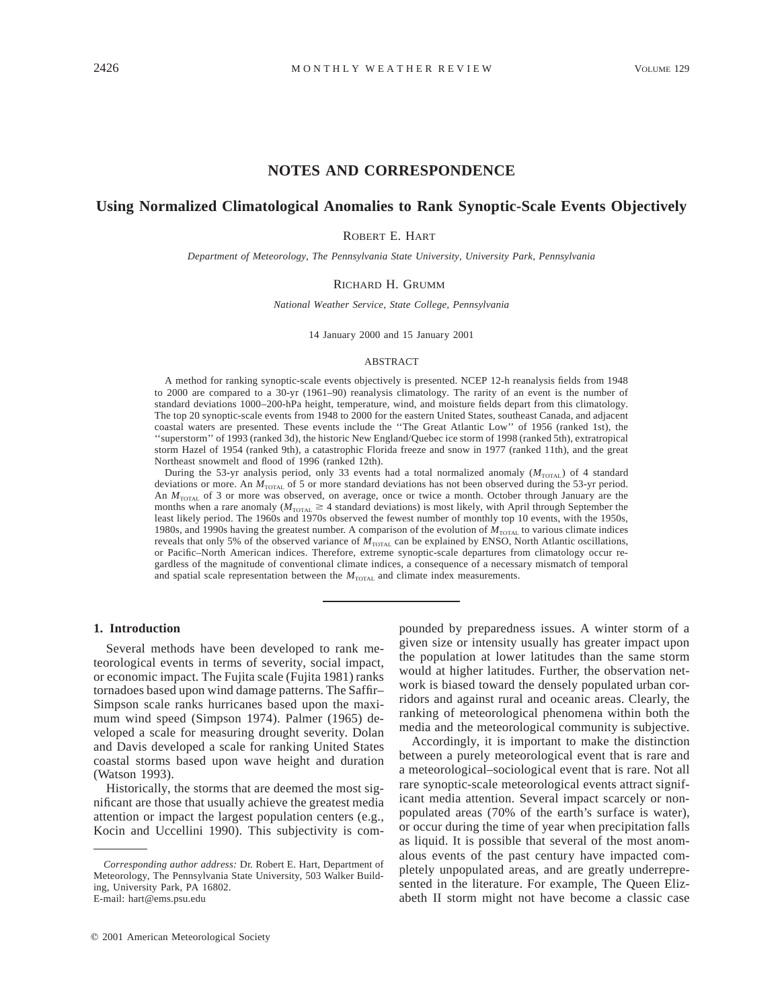# **NOTES AND CORRESPONDENCE**

# **Using Normalized Climatological Anomalies to Rank Synoptic-Scale Events Objectively**

ROBERT E. HART

*Department of Meteorology, The Pennsylvania State University, University Park, Pennsylvania*

RICHARD H. GRUMM

*National Weather Service, State College, Pennsylvania*

14 January 2000 and 15 January 2001

#### ABSTRACT

A method for ranking synoptic-scale events objectively is presented. NCEP 12-h reanalysis fields from 1948 to 2000 are compared to a 30-yr (1961–90) reanalysis climatology. The rarity of an event is the number of standard deviations 1000–200-hPa height, temperature, wind, and moisture fields depart from this climatology. The top 20 synoptic-scale events from 1948 to 2000 for the eastern United States, southeast Canada, and adjacent coastal waters are presented. These events include the ''The Great Atlantic Low'' of 1956 (ranked 1st), the ''superstorm'' of 1993 (ranked 3d), the historic New England/Quebec ice storm of 1998 (ranked 5th), extratropical storm Hazel of 1954 (ranked 9th), a catastrophic Florida freeze and snow in 1977 (ranked 11th), and the great Northeast snowmelt and flood of 1996 (ranked 12th).

During the 53-yr analysis period, only 33 events had a total normalized anomaly  $(M_{\text{TOTAL}})$  of 4 standard deviations or more. An  $M_{\text{TOTAL}}$  of 5 or more standard deviations has not been observed during the 53-yr period. An  $M_{\text{TOTAL}}$  of 3 or more was observed, on average, once or twice a month. October through January are the months when a rare anomaly ( $M_{\text{Total}} \geq 4$  standard deviations) is most likely, with April through September the least likely period. The 1960s and 1970s observed the fewest number of monthly top 10 events, with the 1950s, 1980s, and 1990s having the greatest number. A comparison of the evolution of  $M_{\text{TOTAL}}$  to various climate indices reveals that only 5% of the observed variance of  $M_{\text{TOTAL}}$  can be explained by ENSO, North Atlantic oscillations, or Pacific–North American indices. Therefore, extreme synoptic-scale departures from climatology occur regardless of the magnitude of conventional climate indices, a consequence of a necessary mismatch of temporal and spatial scale representation between the  $M_{\text{TOTAL}}$  and climate index measurements.

## **1. Introduction**

Several methods have been developed to rank meteorological events in terms of severity, social impact, or economic impact. The Fujita scale (Fujita 1981) ranks tornadoes based upon wind damage patterns. The Saffir– Simpson scale ranks hurricanes based upon the maximum wind speed (Simpson 1974). Palmer (1965) developed a scale for measuring drought severity. Dolan and Davis developed a scale for ranking United States coastal storms based upon wave height and duration (Watson 1993).

Historically, the storms that are deemed the most significant are those that usually achieve the greatest media attention or impact the largest population centers (e.g., Kocin and Uccellini 1990). This subjectivity is compounded by preparedness issues. A winter storm of a given size or intensity usually has greater impact upon the population at lower latitudes than the same storm would at higher latitudes. Further, the observation network is biased toward the densely populated urban corridors and against rural and oceanic areas. Clearly, the ranking of meteorological phenomena within both the media and the meteorological community is subjective.

Accordingly, it is important to make the distinction between a purely meteorological event that is rare and a meteorological–sociological event that is rare. Not all rare synoptic-scale meteorological events attract significant media attention. Several impact scarcely or nonpopulated areas (70% of the earth's surface is water), or occur during the time of year when precipitation falls as liquid. It is possible that several of the most anomalous events of the past century have impacted completely unpopulated areas, and are greatly underrepresented in the literature. For example, The Queen Elizabeth II storm might not have become a classic case

*Corresponding author address:* Dr. Robert E. Hart, Department of Meteorology, The Pennsylvania State University, 503 Walker Building, University Park, PA 16802. E-mail: hart@ems.psu.edu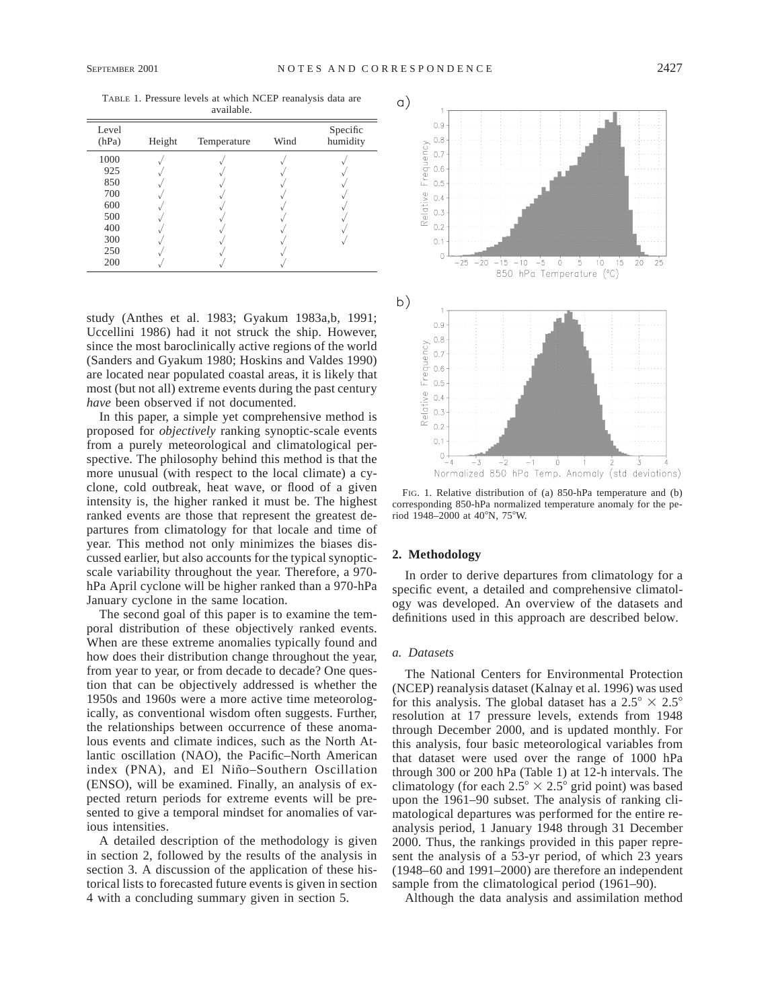TABLE 1. Pressure levels at which NCEP reanalysis data are available.

| Level<br>(hPa) | Height | Temperature | Wind | Specific<br>humidity |
|----------------|--------|-------------|------|----------------------|
| 1000           |        |             |      |                      |
| 925            |        |             |      |                      |
| 850            |        |             |      |                      |
| 700            |        |             |      |                      |
| 600            |        |             |      |                      |
| 500            |        |             |      |                      |
| 400            |        |             |      |                      |
| 300            |        |             |      |                      |
| 250            |        |             |      |                      |
| 200            |        |             |      |                      |

study (Anthes et al. 1983; Gyakum 1983a,b, 1991; Uccellini 1986) had it not struck the ship. However, since the most baroclinically active regions of the world (Sanders and Gyakum 1980; Hoskins and Valdes 1990) are located near populated coastal areas, it is likely that most (but not all) extreme events during the past century *have* been observed if not documented.

In this paper, a simple yet comprehensive method is proposed for *objectively* ranking synoptic-scale events from a purely meteorological and climatological perspective. The philosophy behind this method is that the more unusual (with respect to the local climate) a cyclone, cold outbreak, heat wave, or flood of a given intensity is, the higher ranked it must be. The highest ranked events are those that represent the greatest departures from climatology for that locale and time of year. This method not only minimizes the biases discussed earlier, but also accounts for the typical synopticscale variability throughout the year. Therefore, a 970 hPa April cyclone will be higher ranked than a 970-hPa January cyclone in the same location.

The second goal of this paper is to examine the temporal distribution of these objectively ranked events. When are these extreme anomalies typically found and how does their distribution change throughout the year, from year to year, or from decade to decade? One question that can be objectively addressed is whether the 1950s and 1960s were a more active time meteorologically, as conventional wisdom often suggests. Further, the relationships between occurrence of these anomalous events and climate indices, such as the North Atlantic oscillation (NAO), the Pacific–North American index (PNA), and El Niño-Southern Oscillation (ENSO), will be examined. Finally, an analysis of expected return periods for extreme events will be presented to give a temporal mindset for anomalies of various intensities.

A detailed description of the methodology is given in section 2, followed by the results of the analysis in section 3. A discussion of the application of these historical lists to forecasted future events is given in section 4 with a concluding summary given in section 5.



FIG. 1. Relative distribution of (a) 850-hPa temperature and (b) corresponding 850-hPa normalized temperature anomaly for the period 1948-2000 at 40°N, 75°W.

### **2. Methodology**

In order to derive departures from climatology for a specific event, a detailed and comprehensive climatology was developed. An overview of the datasets and definitions used in this approach are described below.

## *a. Datasets*

The National Centers for Environmental Protection (NCEP) reanalysis dataset (Kalnay et al. 1996) was used for this analysis. The global dataset has a  $2.5^{\circ} \times 2.5^{\circ}$ resolution at 17 pressure levels, extends from 1948 through December 2000, and is updated monthly. For this analysis, four basic meteorological variables from that dataset were used over the range of 1000 hPa through 300 or 200 hPa (Table 1) at 12-h intervals. The climatology (for each  $2.5^{\circ} \times 2.5^{\circ}$  grid point) was based upon the 1961–90 subset. The analysis of ranking climatological departures was performed for the entire reanalysis period, 1 January 1948 through 31 December 2000. Thus, the rankings provided in this paper represent the analysis of a 53-yr period, of which 23 years (1948–60 and 1991–2000) are therefore an independent sample from the climatological period (1961–90).

Although the data analysis and assimilation method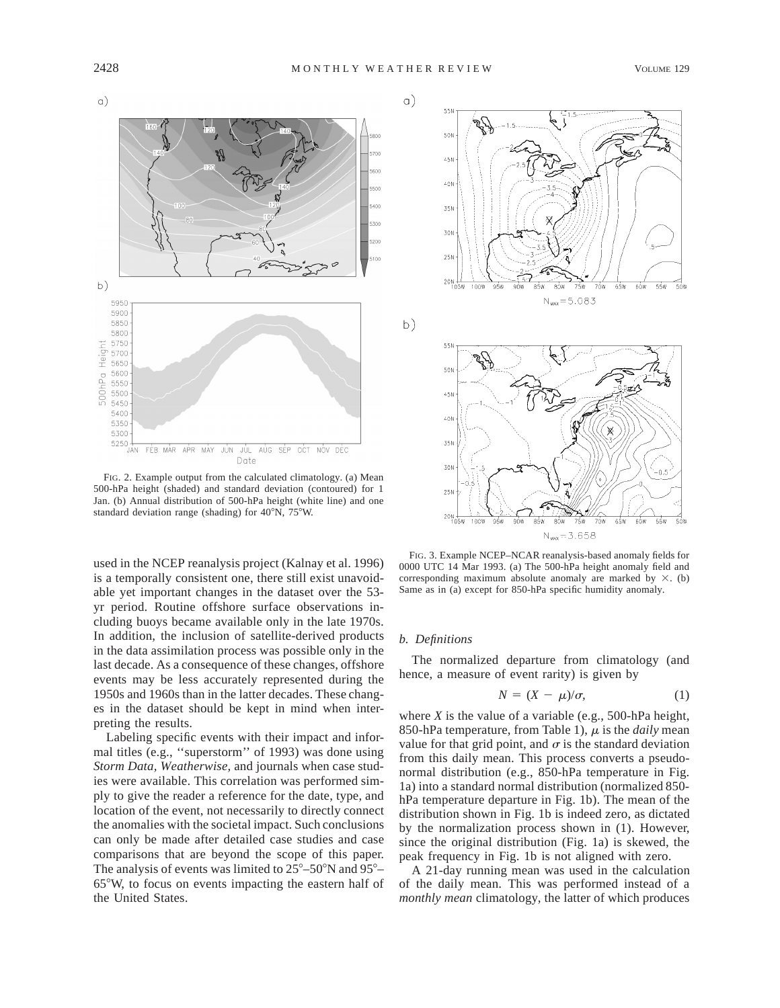

FIG. 2. Example output from the calculated climatology. (a) Mean 500-hPa height (shaded) and standard deviation (contoured) for 1 Jan. (b) Annual distribution of 500-hPa height (white line) and one standard deviation range (shading) for 40°N, 75°W.

used in the NCEP reanalysis project (Kalnay et al. 1996) is a temporally consistent one, there still exist unavoidable yet important changes in the dataset over the 53 yr period. Routine offshore surface observations including buoys became available only in the late 1970s. In addition, the inclusion of satellite-derived products in the data assimilation process was possible only in the last decade. As a consequence of these changes, offshore events may be less accurately represented during the 1950s and 1960s than in the latter decades. These changes in the dataset should be kept in mind when interpreting the results.

Labeling specific events with their impact and informal titles (e.g., ''superstorm'' of 1993) was done using *Storm Data, Weatherwise,* and journals when case studies were available. This correlation was performed simply to give the reader a reference for the date, type, and location of the event, not necessarily to directly connect the anomalies with the societal impact. Such conclusions can only be made after detailed case studies and case comparisons that are beyond the scope of this paper. The analysis of events was limited to  $25^{\circ}$ –50°N and 95°–  $65^{\circ}$ W, to focus on events impacting the eastern half of the United States.



FIG. 3. Example NCEP–NCAR reanalysis-based anomaly fields for 0000 UTC 14 Mar 1993. (a) The 500-hPa height anomaly field and corresponding maximum absolute anomaly are marked by  $\times$ . (b) Same as in (a) except for 850-hPa specific humidity anomaly.

## *b. Definitions*

The normalized departure from climatology (and hence, a measure of event rarity) is given by

$$
N = (X - \mu)/\sigma, \tag{1}
$$

where *X* is the value of a variable (e.g., 500-hPa height, 850-hPa temperature, from Table 1),  $\mu$  is the *daily* mean value for that grid point, and  $\sigma$  is the standard deviation from this daily mean. This process converts a pseudonormal distribution (e.g., 850-hPa temperature in Fig. 1a) into a standard normal distribution (normalized 850 hPa temperature departure in Fig. 1b). The mean of the distribution shown in Fig. 1b is indeed zero, as dictated by the normalization process shown in (1). However, since the original distribution (Fig. 1a) is skewed, the peak frequency in Fig. 1b is not aligned with zero.

A 21-day running mean was used in the calculation of the daily mean. This was performed instead of a *monthly mean* climatology, the latter of which produces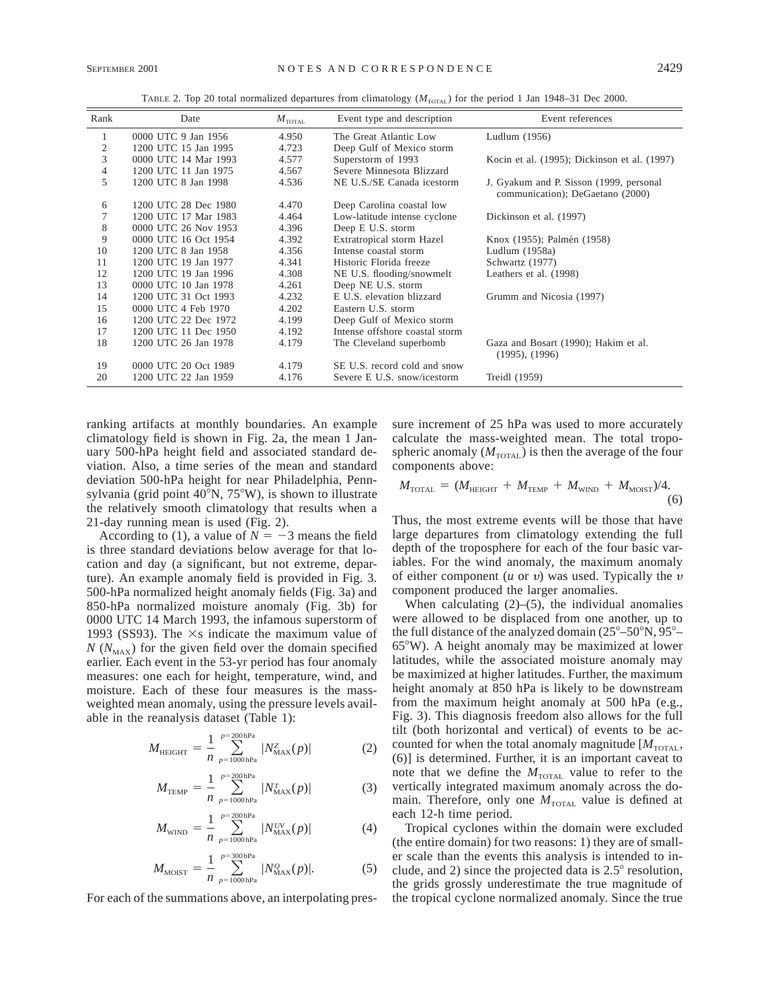20

Rank Date *M*<sub>TOTAL</sub> Event type and description Event references 1 2 3 0000 UTC 9 Jan 1956 1200 UTC 15 Jan 1995 0000 UTC 14 Mar 1993 4.950 4.723 4.577 The Great Atlantic Low Deep Gulf of Mexico storm Superstorm of 1993 Ludlum (1956) Kocin et al. (1995); Dickinson et al. (1997) 4 5 1200 UTC 11 Jan 1975 1200 UTC 8 Jan 1998 4.567 4.536 Severe Minnesota Blizzard<br>NE U.S./SE Canada icestorm J. Gyakum and P. Sisson (1999, personal communication); DeGaetano (2000) 6 7 8 9 10 11 12 13 1200 UTC 28 Dec 1980 1200 UTC 17 Mar 1983 0000 UTC 26 Nov 1953 0000 UTC 16 Oct 1954 1200 UTC 8 Jan 1958 1200 UTC 19 Jan 1977 1200 UTC 19 Jan 1996 0000 UTC 10 Jan 1978 4.470 4.464 4.396 4.392 4.356 4.341 4.308 4.261 Deep Carolina coastal low Low-latitude intense cyclone Deep E U.S. storm Extratropical storm Hazel Intense coastal storm Historic Florida freeze NE U.S. flooding/snowmelt Deep NE U.S. storm Dickinson et al. (1997) Knox (1955); Palmén (1958) Ludlum (1958a) Schwartz (1977) Leathers et al. (1998) 14 15 16 17 18 1200 UTC 31 Oct 1993 0000 UTC 4 Feb 1970 1200 UTC 22 Dec 1972 1200 UTC 11 Dec 1950 1200 UTC 26 Jan 1978 4.232 4.202 4.199 4.192 4.179 E U.S. elevation blizzard Eastern U.S. storm Deep Gulf of Mexico storm Intense offshore coastal storm The Cleveland superbomb Grumm and Nicosia (1997) Gaza and Bosart (1990); Hakim et al. (1995), (1996) 19 0000 UTC 20 Oct 1989 4.179 SE U.S. record cold and snow

Severe E U.S. snow/icestorm Treidl (1959)

TABLE 2. Top 20 total normalized departures from climatology ( $M_{\text{TOTAL}}$ ) for the period 1 Jan 1948–31 Dec 2000.

ranking artifacts at monthly boundaries. An example climatology field is shown in Fig. 2a, the mean 1 January 500-hPa height field and associated standard deviation. Also, a time series of the mean and standard deviation 500-hPa height for near Philadelphia, Pennsylvania (grid point  $40^{\circ}$ N,  $75^{\circ}$ W), is shown to illustrate the relatively smooth climatology that results when a 21-day running mean is used (Fig. 2).

4.176

1200 UTC 22 Jan 1959

According to (1), a value of  $N = -3$  means the field is three standard deviations below average for that location and day (a significant, but not extreme, departure). An example anomaly field is provided in Fig. 3. 500-hPa normalized height anomaly fields (Fig. 3a) and 850-hPa normalized moisture anomaly (Fig. 3b) for 0000 UTC 14 March 1993, the infamous superstorm of 1993 (SS93). The  $\times$ s indicate the maximum value of  $N$  ( $N_{\text{MAX}}$ ) for the given field over the domain specified earlier. Each event in the 53-yr period has four anomaly measures: one each for height, temperature, wind, and moisture. Each of these four measures is the massweighted mean anomaly, using the pressure levels available in the reanalysis dataset (Table 1):

$$
M_{\text{HEIGHT}} = \frac{1}{n} \sum_{p=1000\,\text{hPa}}^{p=200\,\text{hPa}} |N_{\text{MAX}}^{Z}(p)| \tag{2}
$$

$$
M_{\text{TEMP}} = \frac{1}{n} \sum_{p=1000\,\text{hPa}}^{p=200\,\text{hPa}} |N_{\text{MAX}}^T(p)| \tag{3}
$$

$$
M_{\text{WIND}} = \frac{1}{n} \sum_{p=1000\,\text{hPa}}^{p=200\,\text{hPa}} |N_{\text{MAX}}^{UV}(p)| \tag{4}
$$

$$
M_{\text{MOIST}} = \frac{1}{n} \sum_{p=1000\,\text{hPa}}^{p=300\,\text{hPa}} |N_{\text{MAX}}^O(p)|. \tag{5}
$$

For each of the summations above, an interpolating pres-

sure increment of 25 hPa was used to more accurately calculate the mass-weighted mean. The total tropospheric anomaly  $(M_{\text{total}})$  is then the average of the four components above:

$$
M_{\text{TOTAL}} = (M_{\text{HEIGHT}} + M_{\text{TEMP}} + M_{\text{WIND}} + M_{\text{MOIST}})/4. \tag{6}
$$

Thus, the most extreme events will be those that have large departures from climatology extending the full depth of the troposphere for each of the four basic variables. For the wind anomaly, the maximum anomaly of either component  $(u \text{ or } v)$  was used. Typically the  $v$ component produced the larger anomalies.

When calculating  $(2)$ – $(5)$ , the individual anomalies were allowed to be displaced from one another, up to the full distance of the analyzed domain  $(25^{\circ} - 50^{\circ} N, 95^{\circ} 65^{\circ}$ W). A height anomaly may be maximized at lower latitudes, while the associated moisture anomaly may be maximized at higher latitudes. Further, the maximum height anomaly at 850 hPa is likely to be downstream from the maximum height anomaly at 500 hPa (e.g., Fig. 3). This diagnosis freedom also allows for the full tilt (both horizontal and vertical) of events to be accounted for when the total anomaly magnitude  $[M_{\text{TOTAL}}]$ , (6)] is determined. Further, it is an important caveat to note that we define the  $M_{\text{TOTAL}}$  value to refer to the vertically integrated maximum anomaly across the domain. Therefore, only one  $M_{\text{TOTAL}}$  value is defined at each 12-h time period.

Tropical cyclones within the domain were excluded (the entire domain) for two reasons: 1) they are of smaller scale than the events this analysis is intended to include, and 2) since the projected data is  $2.5^{\circ}$  resolution, the grids grossly underestimate the true magnitude of the tropical cyclone normalized anomaly. Since the true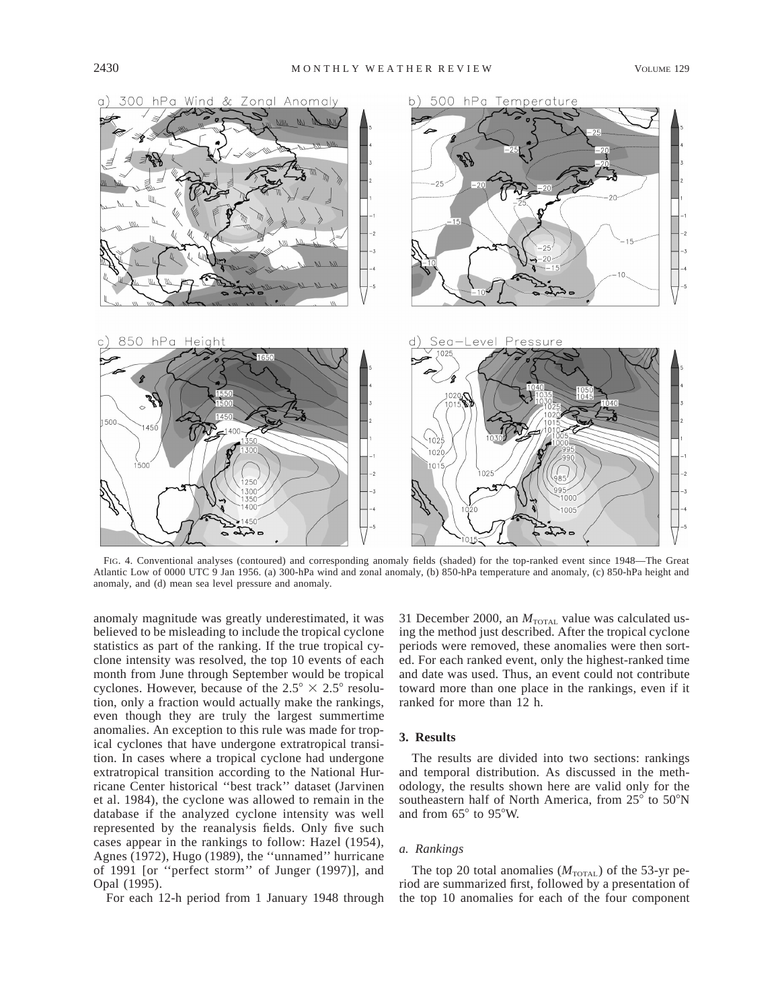

FIG. 4. Conventional analyses (contoured) and corresponding anomaly fields (shaded) for the top-ranked event since 1948—The Great Atlantic Low of 0000 UTC 9 Jan 1956. (a) 300-hPa wind and zonal anomaly, (b) 850-hPa temperature and anomaly, (c) 850-hPa height and anomaly, and (d) mean sea level pressure and anomaly.

anomaly magnitude was greatly underestimated, it was believed to be misleading to include the tropical cyclone statistics as part of the ranking. If the true tropical cyclone intensity was resolved, the top 10 events of each month from June through September would be tropical cyclones. However, because of the  $2.5^{\circ} \times 2.5^{\circ}$  resolution, only a fraction would actually make the rankings, even though they are truly the largest summertime anomalies. An exception to this rule was made for tropical cyclones that have undergone extratropical transition. In cases where a tropical cyclone had undergone extratropical transition according to the National Hurricane Center historical ''best track'' dataset (Jarvinen et al. 1984), the cyclone was allowed to remain in the database if the analyzed cyclone intensity was well represented by the reanalysis fields. Only five such cases appear in the rankings to follow: Hazel (1954), Agnes (1972), Hugo (1989), the ''unnamed'' hurricane of 1991 [or ''perfect storm'' of Junger (1997)], and Opal (1995).

For each 12-h period from 1 January 1948 through

31 December 2000, an  $M_{\text{total}}$  value was calculated using the method just described. After the tropical cyclone periods were removed, these anomalies were then sorted. For each ranked event, only the highest-ranked time and date was used. Thus, an event could not contribute toward more than one place in the rankings, even if it ranked for more than 12 h.

## **3. Results**

The results are divided into two sections: rankings and temporal distribution. As discussed in the methodology, the results shown here are valid only for the southeastern half of North America, from  $25^{\circ}$  to  $50^{\circ}$ N and from  $65^{\circ}$  to  $95^{\circ}$ W.

#### *a. Rankings*

The top 20 total anomalies  $(M_{\text{TOTAL}})$  of the 53-yr period are summarized first, followed by a presentation of the top 10 anomalies for each of the four component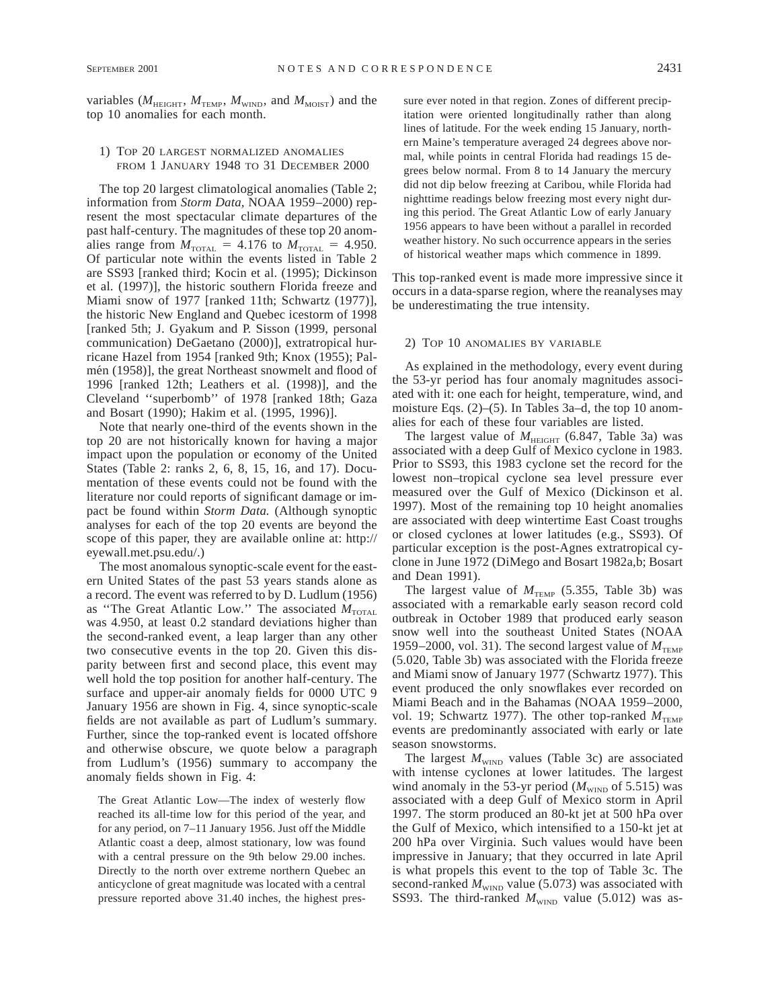variables ( $M_{\text{HEIGHT}}$ ,  $M_{\text{TEMP}}$ ,  $M_{\text{WIND}}$ , and  $M_{\text{MOIST}}$ ) and the top 10 anomalies for each month.

## 1) TOP 20 LARGEST NORMALIZED ANOMALIES FROM 1 JANUARY 1948 TO 31 DECEMBER 2000

The top 20 largest climatological anomalies (Table 2; information from *Storm Data,* NOAA 1959–2000) represent the most spectacular climate departures of the past half-century. The magnitudes of these top 20 anomalies range from  $M_{\text{TOTAL}} = 4.176$  to  $M_{\text{TOTAL}} = 4.950$ . Of particular note within the events listed in Table 2 are SS93 [ranked third; Kocin et al. (1995); Dickinson et al. (1997)], the historic southern Florida freeze and Miami snow of 1977 [ranked 11th; Schwartz (1977)], the historic New England and Quebec icestorm of 1998 [ranked 5th; J. Gyakum and P. Sisson (1999, personal communication) DeGaetano (2000)], extratropical hurricane Hazel from 1954 [ranked 9th; Knox (1955); Palmén (1958)], the great Northeast snowmelt and flood of 1996 [ranked 12th; Leathers et al. (1998)], and the Cleveland ''superbomb'' of 1978 [ranked 18th; Gaza and Bosart (1990); Hakim et al. (1995, 1996)].

Note that nearly one-third of the events shown in the top 20 are not historically known for having a major impact upon the population or economy of the United States (Table 2: ranks 2, 6, 8, 15, 16, and 17). Documentation of these events could not be found with the literature nor could reports of significant damage or impact be found within *Storm Data.* (Although synoptic analyses for each of the top 20 events are beyond the scope of this paper, they are available online at: http:// eyewall.met.psu.edu/.)

The most anomalous synoptic-scale event for the eastern United States of the past 53 years stands alone as a record. The event was referred to by D. Ludlum (1956) as "The Great Atlantic Low." The associated  $M_{\text{TOTAL}}$ was 4.950, at least 0.2 standard deviations higher than the second-ranked event, a leap larger than any other two consecutive events in the top 20. Given this disparity between first and second place, this event may well hold the top position for another half-century. The surface and upper-air anomaly fields for 0000 UTC 9 January 1956 are shown in Fig. 4, since synoptic-scale fields are not available as part of Ludlum's summary. Further, since the top-ranked event is located offshore and otherwise obscure, we quote below a paragraph from Ludlum's (1956) summary to accompany the anomaly fields shown in Fig. 4:

The Great Atlantic Low—The index of westerly flow reached its all-time low for this period of the year, and for any period, on 7–11 January 1956. Just off the Middle Atlantic coast a deep, almost stationary, low was found with a central pressure on the 9th below 29.00 inches. Directly to the north over extreme northern Quebec an anticyclone of great magnitude was located with a central pressure reported above 31.40 inches, the highest pressure ever noted in that region. Zones of different precipitation were oriented longitudinally rather than along lines of latitude. For the week ending 15 January, northern Maine's temperature averaged 24 degrees above normal, while points in central Florida had readings 15 degrees below normal. From 8 to 14 January the mercury did not dip below freezing at Caribou, while Florida had nighttime readings below freezing most every night during this period. The Great Atlantic Low of early January 1956 appears to have been without a parallel in recorded weather history. No such occurrence appears in the series of historical weather maps which commence in 1899.

This top-ranked event is made more impressive since it occurs in a data-sparse region, where the reanalyses may be underestimating the true intensity.

## 2) TOP 10 ANOMALIES BY VARIABLE

As explained in the methodology, every event during the 53-yr period has four anomaly magnitudes associated with it: one each for height, temperature, wind, and moisture Eqs. (2)–(5). In Tables 3a–d, the top 10 anomalies for each of these four variables are listed.

The largest value of  $M_{HEIGHT}$  (6.847, Table 3a) was associated with a deep Gulf of Mexico cyclone in 1983. Prior to SS93, this 1983 cyclone set the record for the lowest non–tropical cyclone sea level pressure ever measured over the Gulf of Mexico (Dickinson et al. 1997). Most of the remaining top 10 height anomalies are associated with deep wintertime East Coast troughs or closed cyclones at lower latitudes (e.g., SS93). Of particular exception is the post-Agnes extratropical cyclone in June 1972 (DiMego and Bosart 1982a,b; Bosart and Dean 1991).

The largest value of  $M_{\text{TEMP}}$  (5.355, Table 3b) was associated with a remarkable early season record cold outbreak in October 1989 that produced early season snow well into the southeast United States (NOAA 1959–2000, vol. 31). The second largest value of  $M_{\text{TEMP}}$ (5.020, Table 3b) was associated with the Florida freeze and Miami snow of January 1977 (Schwartz 1977). This event produced the only snowflakes ever recorded on Miami Beach and in the Bahamas (NOAA 1959–2000, vol. 19; Schwartz 1977). The other top-ranked  $M_{\text{TEMP}}$ events are predominantly associated with early or late season snowstorms.

The largest  $M_{\text{WIND}}$  values (Table 3c) are associated with intense cyclones at lower latitudes. The largest wind anomaly in the 53-yr period  $(M_{\text{WIND}}$  of 5.515) was associated with a deep Gulf of Mexico storm in April 1997. The storm produced an 80-kt jet at 500 hPa over the Gulf of Mexico, which intensified to a 150-kt jet at 200 hPa over Virginia. Such values would have been impressive in January; that they occurred in late April is what propels this event to the top of Table 3c. The second-ranked  $M_{\text{WIND}}$  value (5.073) was associated with SS93. The third-ranked  $M_{\text{WIND}}$  value (5.012) was as-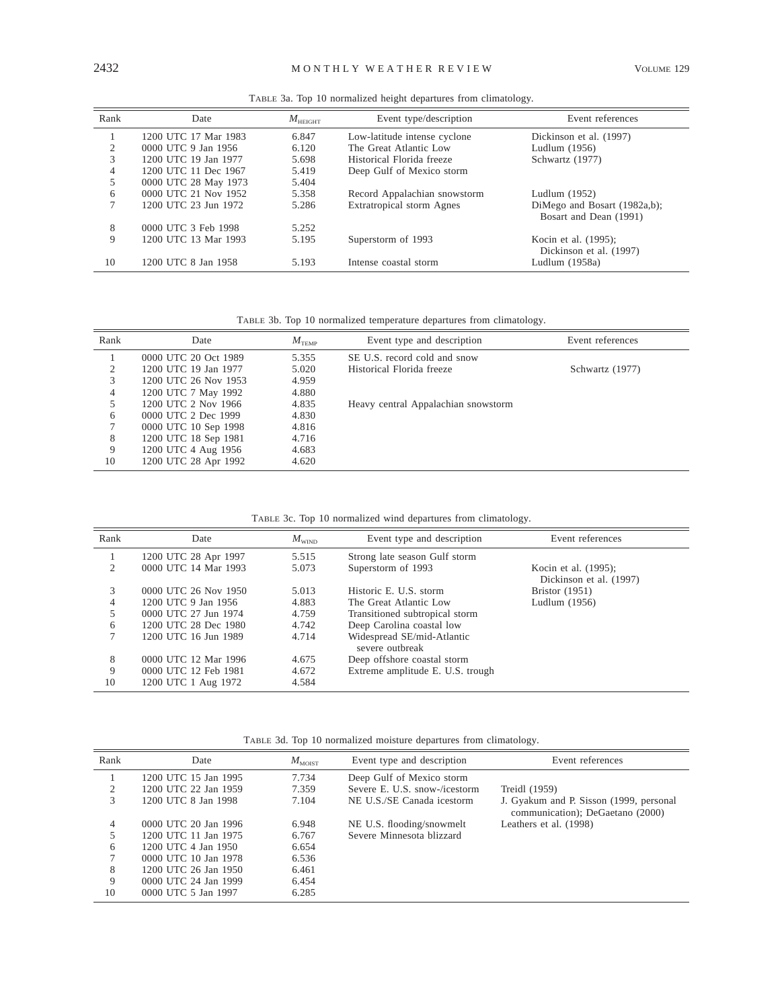# 2432 MONTHLY WEATHER REVIEW VOLUME 129

|  |  |  | TABLE 3a. Top 10 normalized height departures from climatology. |
|--|--|--|-----------------------------------------------------------------|
|  |  |  |                                                                 |

| Rank           | Date                 | $M_{\scriptscriptstyle\rm HEIGHT}$ | Event type/description           | Event references                                       |
|----------------|----------------------|------------------------------------|----------------------------------|--------------------------------------------------------|
|                | 1200 UTC 17 Mar 1983 | 6.847                              | Low-latitude intense cyclone     | Dickinson et al. (1997)                                |
|                | 0000 UTC 9 Jan 1956  | 6.120                              | The Great Atlantic Low           | Ludlum $(1956)$                                        |
| 3              | 1200 UTC 19 Jan 1977 | 5.698                              | Historical Florida freeze        | Schwartz (1977)                                        |
| 4              | 1200 UTC 11 Dec 1967 | 5.419                              | Deep Gulf of Mexico storm        |                                                        |
| 5              | 0000 UTC 28 May 1973 | 5.404                              |                                  |                                                        |
| 6              | 0000 UTC 21 Nov 1952 | 5.358                              | Record Appalachian snowstorm     | Ludlum $(1952)$                                        |
| $\overline{7}$ | 1200 UTC 23 Jun 1972 | 5.286                              | <b>Extratropical storm Agnes</b> | DiMego and Bosart (1982a,b);<br>Bosart and Dean (1991) |
| 8              | 0000 UTC 3 Feb 1998  | 5.252                              |                                  |                                                        |
| 9              | 1200 UTC 13 Mar 1993 | 5.195                              | Superstorm of 1993               | Kocin et al. (1995);<br>Dickinson et al. (1997)        |
| 10             | 1200 UTC 8 Jan 1958  | 5.193                              | Intense coastal storm            | Ludlum $(1958a)$                                       |

TABLE 3b. Top 10 normalized temperature departures from climatology.

| Rank | Date                 | $M_{\text{TEMP}}$ | Event type and description          | Event references |
|------|----------------------|-------------------|-------------------------------------|------------------|
|      | 0000 UTC 20 Oct 1989 | 5.355             | SE U.S. record cold and snow        |                  |
|      | 1200 UTC 19 Jan 1977 | 5.020             | Historical Florida freeze           | Schwartz (1977)  |
| 3    | 1200 UTC 26 Nov 1953 | 4.959             |                                     |                  |
| 4    | 1200 UTC 7 May 1992  | 4.880             |                                     |                  |
|      | 1200 UTC 2 Nov 1966  | 4.835             | Heavy central Appalachian snowstorm |                  |
| 6    | 0000 UTC 2 Dec 1999  | 4.830             |                                     |                  |
|      | 0000 UTC 10 Sep 1998 | 4.816             |                                     |                  |
| 8    | 1200 UTC 18 Sep 1981 | 4.716             |                                     |                  |
| 9    | 1200 UTC 4 Aug 1956  | 4.683             |                                     |                  |
| 10   | 1200 UTC 28 Apr 1992 | 4.620             |                                     |                  |

| TABLE 3c. Top 10 normalized wind departures from climatology. |  |  |  |  |  |  |
|---------------------------------------------------------------|--|--|--|--|--|--|
|---------------------------------------------------------------|--|--|--|--|--|--|

| Rank           | Date                 | $M_{\text{WIND}}$ | Event type and description                    | Event references                                |
|----------------|----------------------|-------------------|-----------------------------------------------|-------------------------------------------------|
|                | 1200 UTC 28 Apr 1997 | 5.515             | Strong late season Gulf storm                 |                                                 |
| $\overline{c}$ | 0000 UTC 14 Mar 1993 | 5.073             | Superstorm of 1993                            | Kocin et al. (1995);<br>Dickinson et al. (1997) |
| 3              | 0000 UTC 26 Nov 1950 | 5.013             | Historic E. U.S. storm                        | <b>Bristor</b> (1951)                           |
| 4              | 1200 UTC 9 Jan 1956  | 4.883             | The Great Atlantic Low                        | Ludlum $(1956)$                                 |
| 5              | 0000 UTC 27 Jun 1974 | 4.759             | Transitioned subtropical storm                |                                                 |
| 6              | 1200 UTC 28 Dec 1980 | 4.742             | Deep Carolina coastal low                     |                                                 |
| $\mathcal{I}$  | 1200 UTC 16 Jun 1989 | 4.714             | Widespread SE/mid-Atlantic<br>severe outbreak |                                                 |
| 8              | 0000 UTC 12 Mar 1996 | 4.675             | Deep offshore coastal storm                   |                                                 |
| 9              | 0000 UTC 12 Feb 1981 | 4.672             | Extreme amplitude E. U.S. trough              |                                                 |
| 10             | 1200 UTC 1 Aug 1972  | 4.584             |                                               |                                                 |

TABLE 3d. Top 10 normalized moisture departures from climatology.

| Rank | Date                 | $M_{MOIST}$ | Event type and description    | Event references                                                            |
|------|----------------------|-------------|-------------------------------|-----------------------------------------------------------------------------|
|      | 1200 UTC 15 Jan 1995 | 7.734       | Deep Gulf of Mexico storm     |                                                                             |
|      | 1200 UTC 22 Jan 1959 | 7.359       | Severe E. U.S. snow-/icestorm | Treidl (1959)                                                               |
| 3    | 1200 UTC 8 Jan 1998  | 7.104       | NE U.S./SE Canada icestorm    | J. Gyakum and P. Sisson (1999, personal<br>communication); DeGaetano (2000) |
| 4    | 0000 UTC 20 Jan 1996 | 6.948       | NE U.S. flooding/snowmelt     | Leathers et al. (1998)                                                      |
|      | 1200 UTC 11 Jan 1975 | 6.767       | Severe Minnesota blizzard     |                                                                             |
| 6    | 1200 UTC 4 Jan 1950  | 6.654       |                               |                                                                             |
|      | 0000 UTC 10 Jan 1978 | 6.536       |                               |                                                                             |
| 8    | 1200 UTC 26 Jan 1950 | 6.461       |                               |                                                                             |
| 9    | 0000 UTC 24 Jan 1999 | 6.454       |                               |                                                                             |
| 10   | 0000 UTC 5 Jan 1997  | 6.285       |                               |                                                                             |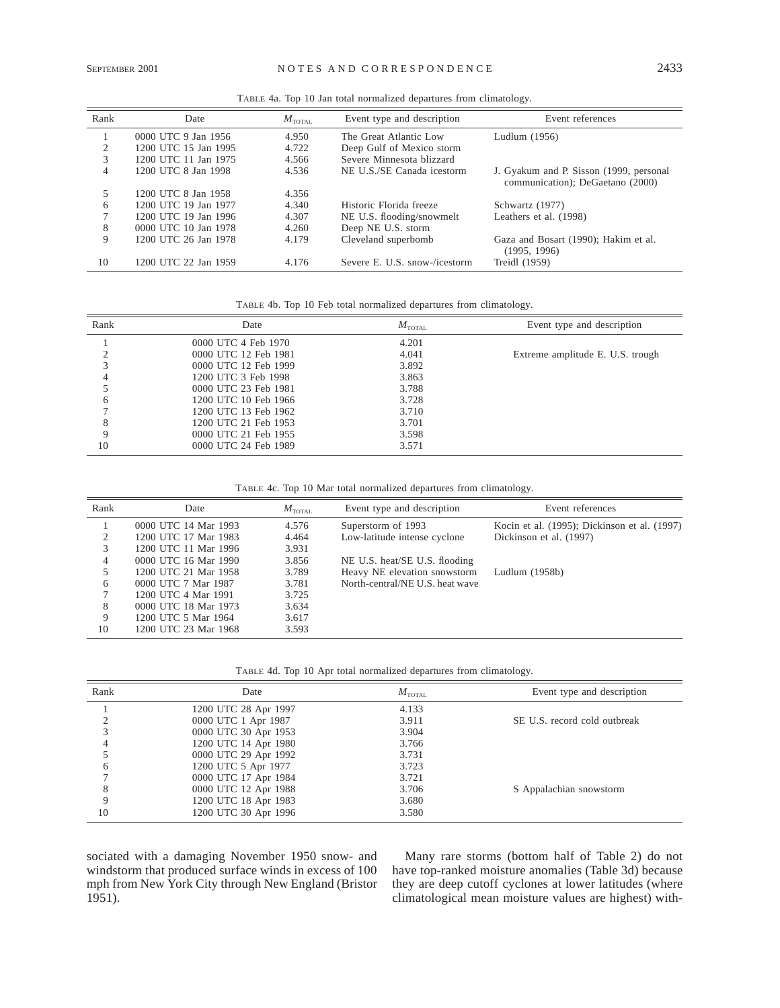| Rank | Date                 | $M_{\rm TOTAL}$ | Event type and description    | Event references                                                            |
|------|----------------------|-----------------|-------------------------------|-----------------------------------------------------------------------------|
|      | 0000 UTC 9 Jan 1956  | 4.950           | The Great Atlantic Low        | Ludlum $(1956)$                                                             |
|      | 1200 UTC 15 Jan 1995 | 4.722           | Deep Gulf of Mexico storm     |                                                                             |
| 3    | 1200 UTC 11 Jan 1975 | 4.566           | Severe Minnesota blizzard     |                                                                             |
| 4    | 1200 UTC 8 Jan 1998  | 4.536           | NE U.S./SE Canada icestorm    | J. Gyakum and P. Sisson (1999, personal<br>communication); DeGaetano (2000) |
| 5    | 1200 UTC 8 Jan 1958  | 4.356           |                               |                                                                             |
| 6    | 1200 UTC 19 Jan 1977 | 4.340           | Historic Florida freeze       | Schwartz (1977)                                                             |
|      | 1200 UTC 19 Jan 1996 | 4.307           | NE U.S. flooding/snowmelt     | Leathers et al. (1998)                                                      |
| 8    | 0000 UTC 10 Jan 1978 | 4.260           | Deep NE U.S. storm            |                                                                             |
| 9    | 1200 UTC 26 Jan 1978 | 4.179           | Cleveland superbomb           | Gaza and Bosart (1990); Hakim et al.<br>(1995, 1996)                        |
| 10   | 1200 UTC 22 Jan 1959 | 4.176           | Severe E. U.S. snow-/icestorm | Treidl (1959)                                                               |

TABLE 4a. Top 10 Jan total normalized departures from climatology.

TABLE 4b. Top 10 Feb total normalized departures from climatology.

| Rank | Date                 | $M_{\rm TOTAL}$ | Event type and description       |
|------|----------------------|-----------------|----------------------------------|
|      | 0000 UTC 4 Feb 1970  | 4.201           |                                  |
|      | 0000 UTC 12 Feb 1981 | 4.041           | Extreme amplitude E. U.S. trough |
|      | 0000 UTC 12 Feb 1999 | 3.892           |                                  |
|      | 1200 UTC 3 Feb 1998  | 3.863           |                                  |
|      | 0000 UTC 23 Feb 1981 | 3.788           |                                  |
|      | 1200 UTC 10 Feb 1966 | 3.728           |                                  |
|      | 1200 UTC 13 Feb 1962 | 3.710           |                                  |
|      | 1200 UTC 21 Feb 1953 | 3.701           |                                  |
|      | 0000 UTC 21 Feb 1955 | 3.598           |                                  |
| 10   | 0000 UTC 24 Feb 1989 | 3.571           |                                  |

TABLE 4c. Top 10 Mar total normalized departures from climatology.

| Rank | Date                 | $M_{\text{TOTAI}}$ | Event type and description      | Event references                             |
|------|----------------------|--------------------|---------------------------------|----------------------------------------------|
|      | 0000 UTC 14 Mar 1993 | 4.576              | Superstorm of 1993              | Kocin et al. (1995); Dickinson et al. (1997) |
|      | 1200 UTC 17 Mar 1983 | 4.464              | Low-latitude intense cyclone    | Dickinson et al. (1997)                      |
|      | 1200 UTC 11 Mar 1996 | 3.931              |                                 |                                              |
|      | 0000 UTC 16 Mar 1990 | 3.856              | NE U.S. heat/SE U.S. flooding   |                                              |
|      | 1200 UTC 21 Mar 1958 | 3.789              | Heavy NE elevation snowstorm    | Ludlum $(1958b)$                             |
| 6    | 0000 UTC 7 Mar 1987  | 3.781              | North-central/NE U.S. heat wave |                                              |
|      | 1200 UTC 4 Mar 1991  | 3.725              |                                 |                                              |
| 8    | 0000 UTC 18 Mar 1973 | 3.634              |                                 |                                              |
| 9    | 1200 UTC 5 Mar 1964  | 3.617              |                                 |                                              |
| 10   | 1200 UTC 23 Mar 1968 | 3.593              |                                 |                                              |

TABLE 4d. Top 10 Apr total normalized departures from climatology.

| Rank | Date                 | $M_{\text{total}}$ | Event type and description   |
|------|----------------------|--------------------|------------------------------|
|      | 1200 UTC 28 Apr 1997 | 4.133              |                              |
|      | 0000 UTC 1 Apr 1987  | 3.911              | SE U.S. record cold outbreak |
|      | 0000 UTC 30 Apr 1953 | 3.904              |                              |
| 4    | 1200 UTC 14 Apr 1980 | 3.766              |                              |
|      | 0000 UTC 29 Apr 1992 | 3.731              |                              |
| 6    | 1200 UTC 5 Apr 1977  | 3.723              |                              |
|      | 0000 UTC 17 Apr 1984 | 3.721              |                              |
| 8    | 0000 UTC 12 Apr 1988 | 3.706              | S Appalachian snowstorm      |
| Q    | 1200 UTC 18 Apr 1983 | 3.680              |                              |
| 10   | 1200 UTC 30 Apr 1996 | 3.580              |                              |
|      |                      |                    |                              |

sociated with a damaging November 1950 snow- and windstorm that produced surface winds in excess of 100 mph from New York City through New England (Bristor 1951).

Many rare storms (bottom half of Table 2) do not have top-ranked moisture anomalies (Table 3d) because they are deep cutoff cyclones at lower latitudes (where climatological mean moisture values are highest) with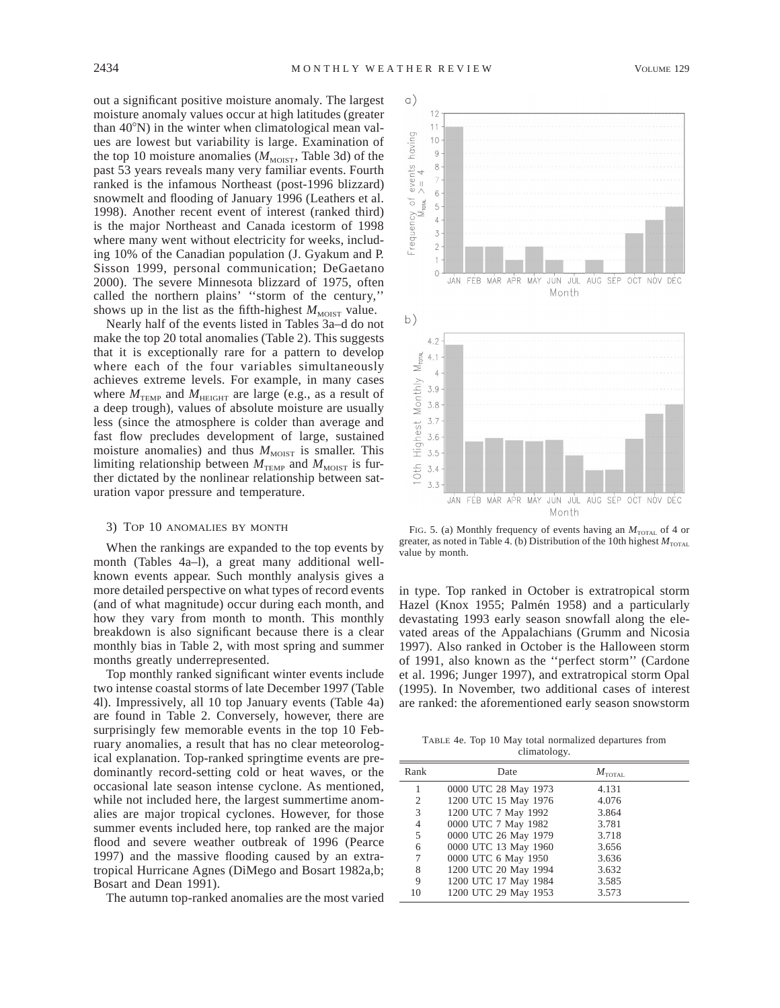out a significant positive moisture anomaly. The largest moisture anomaly values occur at high latitudes (greater than  $40^{\circ}$ N) in the winter when climatological mean values are lowest but variability is large. Examination of the top 10 moisture anomalies ( $M_{MOIST}$ , Table 3d) of the past 53 years reveals many very familiar events. Fourth ranked is the infamous Northeast (post-1996 blizzard) snowmelt and flooding of January 1996 (Leathers et al. 1998). Another recent event of interest (ranked third) is the major Northeast and Canada icestorm of 1998 where many went without electricity for weeks, including 10% of the Canadian population (J. Gyakum and P. Sisson 1999, personal communication; DeGaetano 2000). The severe Minnesota blizzard of 1975, often called the northern plains' ''storm of the century,'' shows up in the list as the fifth-highest  $M_{MOIST}$  value.

Nearly half of the events listed in Tables 3a–d do not make the top 20 total anomalies (Table 2). This suggests that it is exceptionally rare for a pattern to develop where each of the four variables simultaneously achieves extreme levels. For example, in many cases where  $M_{\text{TEMP}}$  and  $M_{\text{HEIGHT}}$  are large (e.g., as a result of a deep trough), values of absolute moisture are usually less (since the atmosphere is colder than average and fast flow precludes development of large, sustained moisture anomalies) and thus  $M_{MOIST}$  is smaller. This limiting relationship between  $M_{\text{TEMP}}$  and  $M_{\text{MOIST}}$  is further dictated by the nonlinear relationship between saturation vapor pressure and temperature.

### 3) TOP 10 ANOMALIES BY MONTH

When the rankings are expanded to the top events by month (Tables 4a–l), a great many additional wellknown events appear. Such monthly analysis gives a more detailed perspective on what types of record events (and of what magnitude) occur during each month, and how they vary from month to month. This monthly breakdown is also significant because there is a clear monthly bias in Table 2, with most spring and summer months greatly underrepresented.

Top monthly ranked significant winter events include two intense coastal storms of late December 1997 (Table 4l). Impressively, all 10 top January events (Table 4a) are found in Table 2. Conversely, however, there are surprisingly few memorable events in the top 10 February anomalies, a result that has no clear meteorological explanation. Top-ranked springtime events are predominantly record-setting cold or heat waves, or the occasional late season intense cyclone. As mentioned, while not included here, the largest summertime anomalies are major tropical cyclones. However, for those summer events included here, top ranked are the major flood and severe weather outbreak of 1996 (Pearce 1997) and the massive flooding caused by an extratropical Hurricane Agnes (DiMego and Bosart 1982a,b; Bosart and Dean 1991).

The autumn top-ranked anomalies are the most varied



FIG. 5. (a) Monthly frequency of events having an  $M_{\text{TOTAL}}$  of 4 or greater, as noted in Table 4. (b) Distribution of the 10th highest  $M_{\text{TOTAL}}$ value by month.

in type. Top ranked in October is extratropical storm Hazel (Knox 1955; Palmén 1958) and a particularly devastating 1993 early season snowfall along the elevated areas of the Appalachians (Grumm and Nicosia 1997). Also ranked in October is the Halloween storm of 1991, also known as the ''perfect storm'' (Cardone et al. 1996; Junger 1997), and extratropical storm Opal (1995). In November, two additional cases of interest are ranked: the aforementioned early season snowstorm

TABLE 4e. Top 10 May total normalized departures from climatology.

| Rank | Date                 | $M_{\text{\tiny TOTAL}}$ |  |
|------|----------------------|--------------------------|--|
|      | 0000 UTC 28 May 1973 | 4.131                    |  |
| 2    | 1200 UTC 15 May 1976 | 4.076                    |  |
| 3    | 1200 UTC 7 May 1992  | 3.864                    |  |
| 4    | 0000 UTC 7 May 1982  | 3.781                    |  |
| 5    | 0000 UTC 26 May 1979 | 3.718                    |  |
| 6    | 0000 UTC 13 May 1960 | 3.656                    |  |
| 7    | 0000 UTC 6 May 1950  | 3.636                    |  |
| 8    | 1200 UTC 20 May 1994 | 3.632                    |  |
| 9    | 1200 UTC 17 May 1984 | 3.585                    |  |
| 10   | 1200 UTC 29 May 1953 | 3.573                    |  |
|      |                      |                          |  |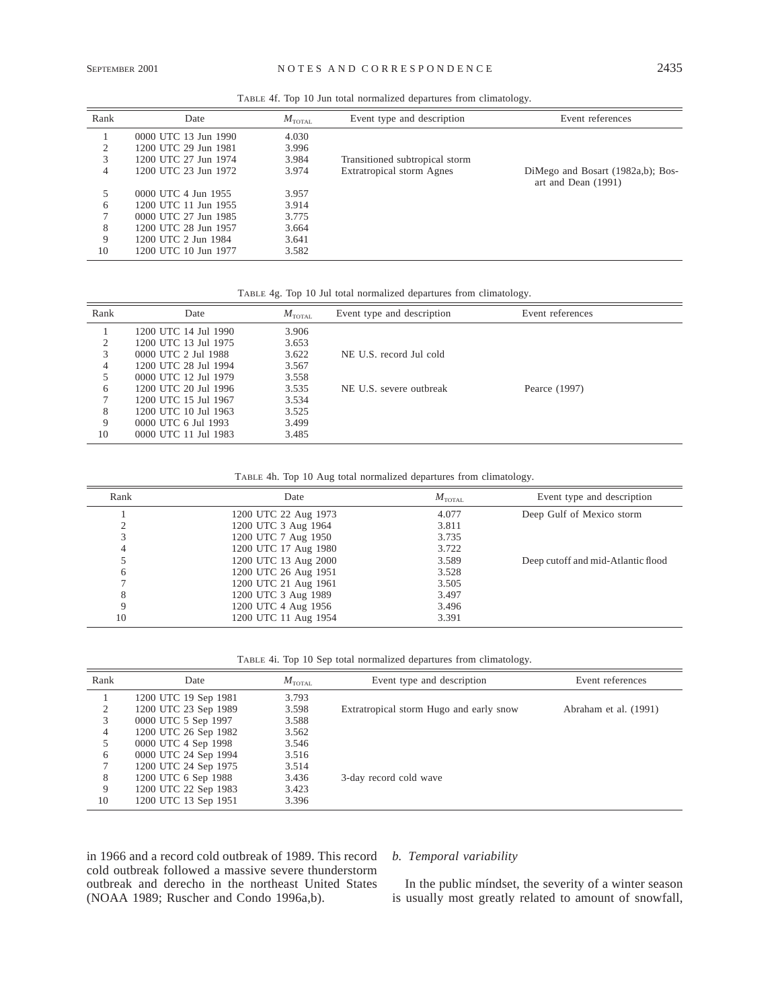TABLE 4f. Top 10 Jun total normalized departures from climatology.

| Rank | Date                 | $M_{\text{TOTAL}}$ | Event type and description     | Event references                                         |
|------|----------------------|--------------------|--------------------------------|----------------------------------------------------------|
|      | 0000 UTC 13 Jun 1990 | 4.030              |                                |                                                          |
|      | 1200 UTC 29 Jun 1981 | 3.996              |                                |                                                          |
| 3    | 1200 UTC 27 Jun 1974 | 3.984              | Transitioned subtropical storm |                                                          |
| 4    | 1200 UTC 23 Jun 1972 | 3.974              | Extratropical storm Agnes      | DiMego and Bosart (1982a,b); Bos-<br>art and Dean (1991) |
|      | 0000 UTC 4 Jun 1955  | 3.957              |                                |                                                          |
| 6    | 1200 UTC 11 Jun 1955 | 3.914              |                                |                                                          |
|      | 0000 UTC 27 Jun 1985 | 3.775              |                                |                                                          |
| 8    | 1200 UTC 28 Jun 1957 | 3.664              |                                |                                                          |
| 9    | 1200 UTC 2 Jun 1984  | 3.641              |                                |                                                          |
| 10   | 1200 UTC 10 Jun 1977 | 3.582              |                                |                                                          |

TABLE 4g. Top 10 Jul total normalized departures from climatology.

| Rank | Date                 | $M_{\text{TOTAL}}$ | Event type and description | Event references |
|------|----------------------|--------------------|----------------------------|------------------|
|      | 1200 UTC 14 Jul 1990 | 3.906              |                            |                  |
|      | 1200 UTC 13 Jul 1975 | 3.653              |                            |                  |
|      | 0000 UTC 2 Jul 1988  | 3.622              | NE U.S. record Jul cold    |                  |
| 4    | 1200 UTC 28 Jul 1994 | 3.567              |                            |                  |
|      | 0000 UTC 12 Jul 1979 | 3.558              |                            |                  |
| 6    | 1200 UTC 20 Jul 1996 | 3.535              | NE U.S. severe outbreak    | Pearce (1997)    |
|      | 1200 UTC 15 Jul 1967 | 3.534              |                            |                  |
| 8    | 1200 UTC 10 Jul 1963 | 3.525              |                            |                  |
| 9    | 0000 UTC 6 Jul 1993  | 3.499              |                            |                  |
| 10   | 0000 UTC 11 Jul 1983 | 3.485              |                            |                  |

TABLE 4h. Top 10 Aug total normalized departures from climatology.

| Rank | Date                 | $M_{\rm TOTAL}$ | Event type and description         |
|------|----------------------|-----------------|------------------------------------|
|      | 1200 UTC 22 Aug 1973 | 4.077           | Deep Gulf of Mexico storm          |
|      | 1200 UTC 3 Aug 1964  | 3.811           |                                    |
|      | 1200 UTC 7 Aug 1950  | 3.735           |                                    |
| 4    | 1200 UTC 17 Aug 1980 | 3.722           |                                    |
|      | 1200 UTC 13 Aug 2000 | 3.589           | Deep cutoff and mid-Atlantic flood |
| h    | 1200 UTC 26 Aug 1951 | 3.528           |                                    |
|      | 1200 UTC 21 Aug 1961 | 3.505           |                                    |
| 8    | 1200 UTC 3 Aug 1989  | 3.497           |                                    |
|      | 1200 UTC 4 Aug 1956  | 3.496           |                                    |
| 10   | 1200 UTC 11 Aug 1954 | 3.391           |                                    |

TABLE 4i. Top 10 Sep total normalized departures from climatology.

| Rank | Date                 | $M_{\text{TOTAL}}$ | Event type and description              | Event references      |
|------|----------------------|--------------------|-----------------------------------------|-----------------------|
|      | 1200 UTC 19 Sep 1981 | 3.793              |                                         |                       |
|      | 1200 UTC 23 Sep 1989 | 3.598              | Extratropical storm Hugo and early snow | Abraham et al. (1991) |
|      | 0000 UTC 5 Sep 1997  | 3.588              |                                         |                       |
| 4    | 1200 UTC 26 Sep 1982 | 3.562              |                                         |                       |
|      | 0000 UTC 4 Sep 1998  | 3.546              |                                         |                       |
| 6    | 0000 UTC 24 Sep 1994 | 3.516              |                                         |                       |
|      | 1200 UTC 24 Sep 1975 | 3.514              |                                         |                       |
| 8    | 1200 UTC 6 Sep 1988  | 3.436              | 3-day record cold wave                  |                       |
| 9    | 1200 UTC 22 Sep 1983 | 3.423              |                                         |                       |
| 10   | 1200 UTC 13 Sep 1951 | 3.396              |                                         |                       |

in 1966 and a record cold outbreak of 1989. This record cold outbreak followed a massive severe thunderstorm outbreak and derecho in the northeast United States (NOAA 1989; Ruscher and Condo 1996a,b).

# *b. Temporal variability*

In the public mindset, the severity of a winter season is usually most greatly related to amount of snowfall,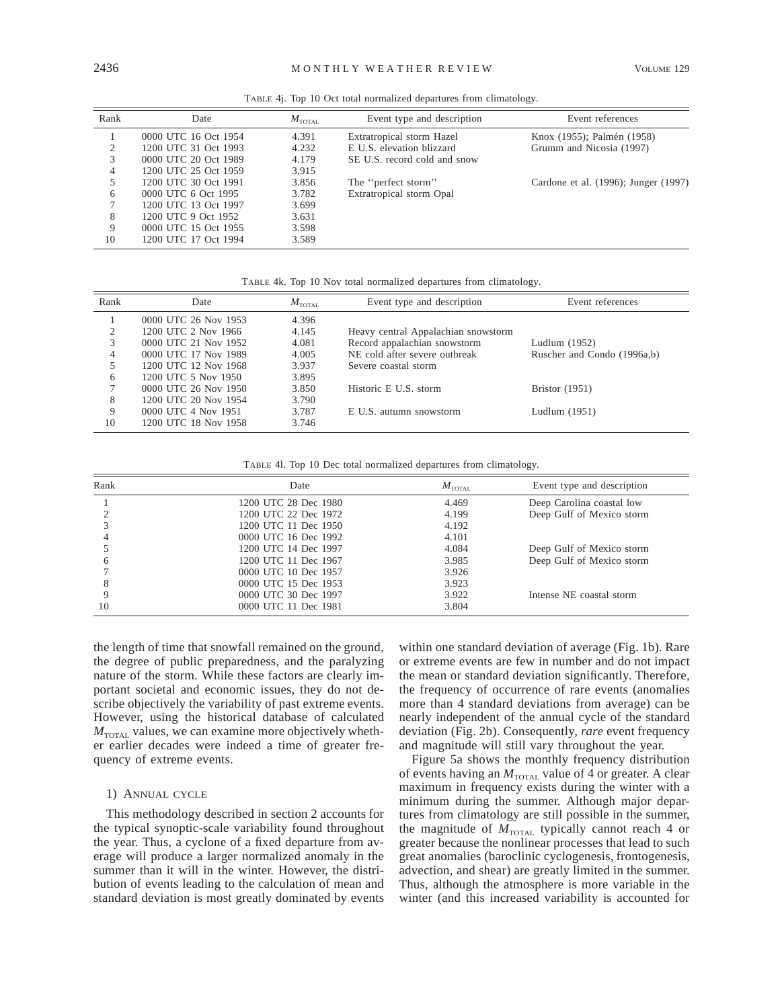### 2436 MONTHLY WEATHER REVIEW VOLUME 129

TABLE 4j. Top 10 Oct total normalized departures from climatology.

| Rank | Date                 | $M_{\text{\tiny TOTAL}}$ | Event type and description   | Event references                     |
|------|----------------------|--------------------------|------------------------------|--------------------------------------|
|      | 0000 UTC 16 Oct 1954 | 4.391                    | Extratropical storm Hazel    | Knox (1955); Palmén (1958)           |
|      | 1200 UTC 31 Oct 1993 | 4.232                    | E U.S. elevation blizzard    | Grumm and Nicosia (1997)             |
| 3    | 0000 UTC 20 Oct 1989 | 4.179                    | SE U.S. record cold and snow |                                      |
| 4    | 1200 UTC 25 Oct 1959 | 3.915                    |                              |                                      |
|      | 1200 UTC 30 Oct 1991 | 3.856                    | The "perfect storm"          | Cardone et al. (1996); Junger (1997) |
| 6    | 0000 UTC 6 Oct 1995  | 3.782                    | Extratropical storm Opal     |                                      |
|      | 1200 UTC 13 Oct 1997 | 3.699                    |                              |                                      |
| 8    | 1200 UTC 9 Oct 1952  | 3.631                    |                              |                                      |
| 9    | 0000 UTC 15 Oct 1955 | 3.598                    |                              |                                      |
| 10   | 1200 UTC 17 Oct 1994 | 3.589                    |                              |                                      |

TABLE 4k. Top 10 Nov total normalized departures from climatology.

| Rank | Date                 | $M_{\text{TOTAL}}$ | Event type and description          | Event references            |
|------|----------------------|--------------------|-------------------------------------|-----------------------------|
|      | 0000 UTC 26 Nov 1953 | 4.396              |                                     |                             |
|      | 1200 UTC 2 Nov 1966  | 4.145              | Heavy central Appalachian snowstorm |                             |
|      | 0000 UTC 21 Nov 1952 | 4.081              | Record appalachian snowstorm        | Ludlum $(1952)$             |
| 4    | 0000 UTC 17 Nov 1989 | 4.005              | NE cold after severe outbreak       | Ruscher and Condo (1996a,b) |
| 5    | 1200 UTC 12 Nov 1968 | 3.937              | Severe coastal storm                |                             |
| 6    | 1200 UTC 5 Nov 1950  | 3.895              |                                     |                             |
|      | 0000 UTC 26 Nov 1950 | 3.850              | Historic E U.S. storm               | <b>Bristor</b> (1951)       |
| 8    | 1200 UTC 20 Nov 1954 | 3.790              |                                     |                             |
| 9    | 0000 UTC 4 Nov 1951  | 3.787              | E U.S. autumn snowstorm             | Ludlum $(1951)$             |
| 10   | 1200 UTC 18 Nov 1958 | 3.746              |                                     |                             |

TABLE 4l. Top 10 Dec total normalized departures from climatology.

| Rank | Date                 | $M_{\text{total}}$ | Event type and description |
|------|----------------------|--------------------|----------------------------|
|      | 1200 UTC 28 Dec 1980 | 4.469              | Deep Carolina coastal low  |
|      | 1200 UTC 22 Dec 1972 | 4.199              | Deep Gulf of Mexico storm  |
|      | 1200 UTC 11 Dec 1950 | 4.192              |                            |
|      | 0000 UTC 16 Dec 1992 | 4.101              |                            |
|      | 1200 UTC 14 Dec 1997 | 4.084              | Deep Gulf of Mexico storm  |
|      | 1200 UTC 11 Dec 1967 | 3.985              | Deep Gulf of Mexico storm  |
|      | 0000 UTC 10 Dec 1957 | 3.926              |                            |
|      | 0000 UTC 15 Dec 1953 | 3.923              |                            |
|      | 0000 UTC 30 Dec 1997 | 3.922              | Intense NE coastal storm   |
| 10   | 0000 UTC 11 Dec 1981 | 3.804              |                            |

the length of time that snowfall remained on the ground, the degree of public preparedness, and the paralyzing nature of the storm. While these factors are clearly important societal and economic issues, they do not describe objectively the variability of past extreme events. However, using the historical database of calculated  $M_{\text{total}}$  values, we can examine more objectively whether earlier decades were indeed a time of greater frequency of extreme events.

# 1) ANNUAL CYCLE

This methodology described in section 2 accounts for the typical synoptic-scale variability found throughout the year. Thus, a cyclone of a fixed departure from average will produce a larger normalized anomaly in the summer than it will in the winter. However, the distribution of events leading to the calculation of mean and standard deviation is most greatly dominated by events within one standard deviation of average (Fig. 1b). Rare or extreme events are few in number and do not impact the mean or standard deviation significantly. Therefore, the frequency of occurrence of rare events (anomalies more than 4 standard deviations from average) can be nearly independent of the annual cycle of the standard deviation (Fig. 2b). Consequently, *rare* event frequency and magnitude will still vary throughout the year.

Figure 5a shows the monthly frequency distribution of events having an  $M_{\text{TOTAL}}$  value of 4 or greater. A clear maximum in frequency exists during the winter with a minimum during the summer. Although major departures from climatology are still possible in the summer, the magnitude of  $M_{\text{total}}$  typically cannot reach 4 or greater because the nonlinear processes that lead to such great anomalies (baroclinic cyclogenesis, frontogenesis, advection, and shear) are greatly limited in the summer. Thus, although the atmosphere is more variable in the winter (and this increased variability is accounted for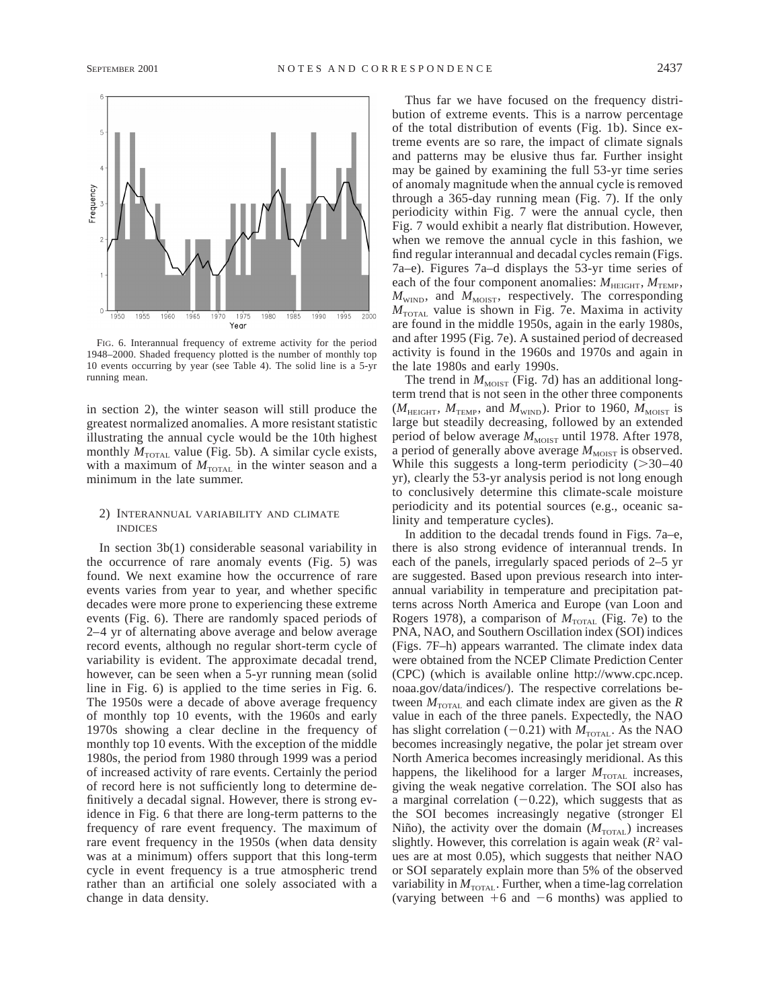

FIG. 6. Interannual frequency of extreme activity for the period 1948–2000. Shaded frequency plotted is the number of monthly top 10 events occurring by year (see Table 4). The solid line is a 5-yr running mean.

in section 2), the winter season will still produce the greatest normalized anomalies. A more resistant statistic illustrating the annual cycle would be the 10th highest monthly  $M_{\text{TOTAL}}$  value (Fig. 5b). A similar cycle exists, with a maximum of  $M_{\text{TOTAL}}$  in the winter season and a minimum in the late summer.

### 2) INTERANNUAL VARIABILITY AND CLIMATE INDICES

In section 3b(1) considerable seasonal variability in the occurrence of rare anomaly events (Fig. 5) was found. We next examine how the occurrence of rare events varies from year to year, and whether specific decades were more prone to experiencing these extreme events (Fig. 6). There are randomly spaced periods of 2–4 yr of alternating above average and below average record events, although no regular short-term cycle of variability is evident. The approximate decadal trend, however, can be seen when a 5-yr running mean (solid line in Fig. 6) is applied to the time series in Fig. 6. The 1950s were a decade of above average frequency of monthly top 10 events, with the 1960s and early 1970s showing a clear decline in the frequency of monthly top 10 events. With the exception of the middle 1980s, the period from 1980 through 1999 was a period of increased activity of rare events. Certainly the period of record here is not sufficiently long to determine definitively a decadal signal. However, there is strong evidence in Fig. 6 that there are long-term patterns to the frequency of rare event frequency. The maximum of rare event frequency in the 1950s (when data density was at a minimum) offers support that this long-term cycle in event frequency is a true atmospheric trend rather than an artificial one solely associated with a change in data density.

Thus far we have focused on the frequency distribution of extreme events. This is a narrow percentage of the total distribution of events (Fig. 1b). Since extreme events are so rare, the impact of climate signals and patterns may be elusive thus far. Further insight may be gained by examining the full 53-yr time series of anomaly magnitude when the annual cycle is removed through a 365-day running mean (Fig. 7). If the only periodicity within Fig. 7 were the annual cycle, then Fig. 7 would exhibit a nearly flat distribution. However, when we remove the annual cycle in this fashion, we find regular interannual and decadal cycles remain (Figs. 7a–e). Figures 7a–d displays the 53-yr time series of each of the four component anomalies:  $M_{HEIGHT}$ ,  $M_{TEMP}$ ,  $M_{\text{WIND}}$ , and  $M_{\text{MOIST}}$ , respectively. The corresponding  $M_{\text{total}}$  value is shown in Fig. 7e. Maxima in activity are found in the middle 1950s, again in the early 1980s, and after 1995 (Fig. 7e). A sustained period of decreased activity is found in the 1960s and 1970s and again in the late 1980s and early 1990s.

The trend in  $M_{MOIST}$  (Fig. 7d) has an additional longterm trend that is not seen in the other three components  $(M_{\text{HEIGHT}}, M_{\text{TEMP}}, \text{ and } M_{\text{WIND}})$ . Prior to 1960,  $M_{\text{MOIST}}$  is large but steadily decreasing, followed by an extended period of below average  $M_{MOIST}$  until 1978. After 1978, a period of generally above average  $M_{M O I S T}$  is observed. While this suggests a long-term periodicity  $(>30-40)$ yr), clearly the 53-yr analysis period is not long enough to conclusively determine this climate-scale moisture periodicity and its potential sources (e.g., oceanic salinity and temperature cycles).

In addition to the decadal trends found in Figs. 7a–e, there is also strong evidence of interannual trends. In each of the panels, irregularly spaced periods of 2–5 yr are suggested. Based upon previous research into interannual variability in temperature and precipitation patterns across North America and Europe (van Loon and Rogers 1978), a comparison of  $M_{\text{TOTAL}}$  (Fig. 7e) to the PNA, NAO, and Southern Oscillation index (SOI) indices (Figs. 7F–h) appears warranted. The climate index data were obtained from the NCEP Climate Prediction Center (CPC) (which is available online http://www.cpc.ncep. noaa.gov/data/indices/). The respective correlations between  $M_{\text{total}}$  and each climate index are given as the *R* value in each of the three panels. Expectedly, the NAO has slight correlation (-0.21) with  $M_{\text{TOTAL}}$ . As the NAO becomes increasingly negative, the polar jet stream over North America becomes increasingly meridional. As this happens, the likelihood for a larger  $M_{\text{TOTAL}}$  increases, giving the weak negative correlation. The SOI also has a marginal correlation  $(-0.22)$ , which suggests that as the SOI becomes increasingly negative (stronger El Niño), the activity over the domain  $(M_{\text{total}})$  increases slightly. However, this correlation is again weak  $(R^2 \text{ val}$ ues are at most 0.05), which suggests that neither NAO or SOI separately explain more than 5% of the observed variability in  $M_{\text{total}}$ . Further, when a time-lag correlation (varying between  $+6$  and  $-6$  months) was applied to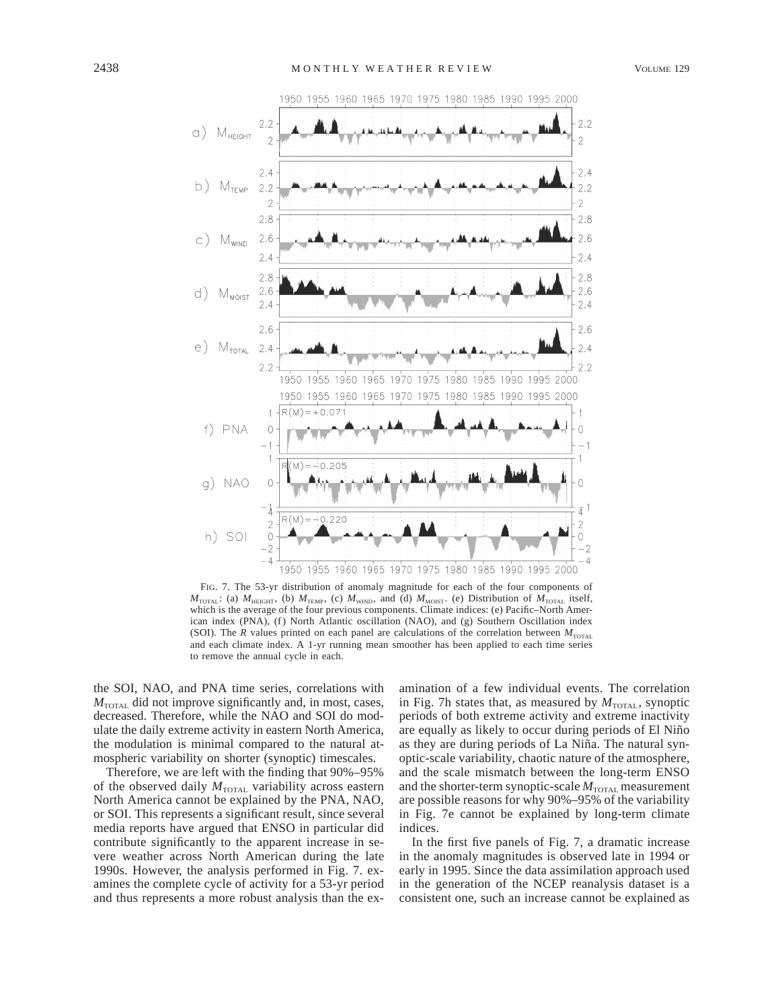

FIG. 7. The 53-yr distribution of anomaly magnitude for each of the four components of  $M_{\text{TOTAL}}$ : (a)  $M_{\text{HEIGHT}}$ , (b)  $M_{\text{TEMP}}$ , (c)  $M_{\text{WIND}}$ , and (d)  $M_{\text{MOIST}}$ . (e) Distribution of  $M_{\text{TOTAL}}$  itself, which is the average of the four previous components. Climate indices: (e) Pacific–North American index (PNA), (f) North Atlantic oscillation (NAO), and (g) Southern Oscillation index (SOI). The *R* values printed on each panel are calculations of the correlation between  $M_{\text{TOTAL}}$ and each climate index. A 1-yr running mean smoother has been applied to each time series to remove the annual cycle in each.

the SOI, NAO, and PNA time series, correlations with  $M_{\text{total}}$  did not improve significantly and, in most, cases, decreased. Therefore, while the NAO and SOI do modulate the daily extreme activity in eastern North America, the modulation is minimal compared to the natural atmospheric variability on shorter (synoptic) timescales.

Therefore, we are left with the finding that 90%–95% of the observed daily  $M_{\text{TOTAL}}$  variability across eastern North America cannot be explained by the PNA, NAO, or SOI. This represents a significant result, since several media reports have argued that ENSO in particular did contribute significantly to the apparent increase in severe weather across North American during the late 1990s. However, the analysis performed in Fig. 7. examines the complete cycle of activity for a 53-yr period and thus represents a more robust analysis than the ex-

amination of a few individual events. The correlation in Fig. 7h states that, as measured by  $M_{\text{TOTAL}}$ , synoptic periods of both extreme activity and extreme inactivity are equally as likely to occur during periods of El Niño as they are during periods of La Niña. The natural synoptic-scale variability, chaotic nature of the atmosphere, and the scale mismatch between the long-term ENSO and the shorter-term synoptic-scale  $M_{\text{total}}$  measurement are possible reasons for why 90%–95% of the variability in Fig. 7e cannot be explained by long-term climate indices.

In the first five panels of Fig. 7, a dramatic increase in the anomaly magnitudes is observed late in 1994 or early in 1995. Since the data assimilation approach used in the generation of the NCEP reanalysis dataset is a consistent one, such an increase cannot be explained as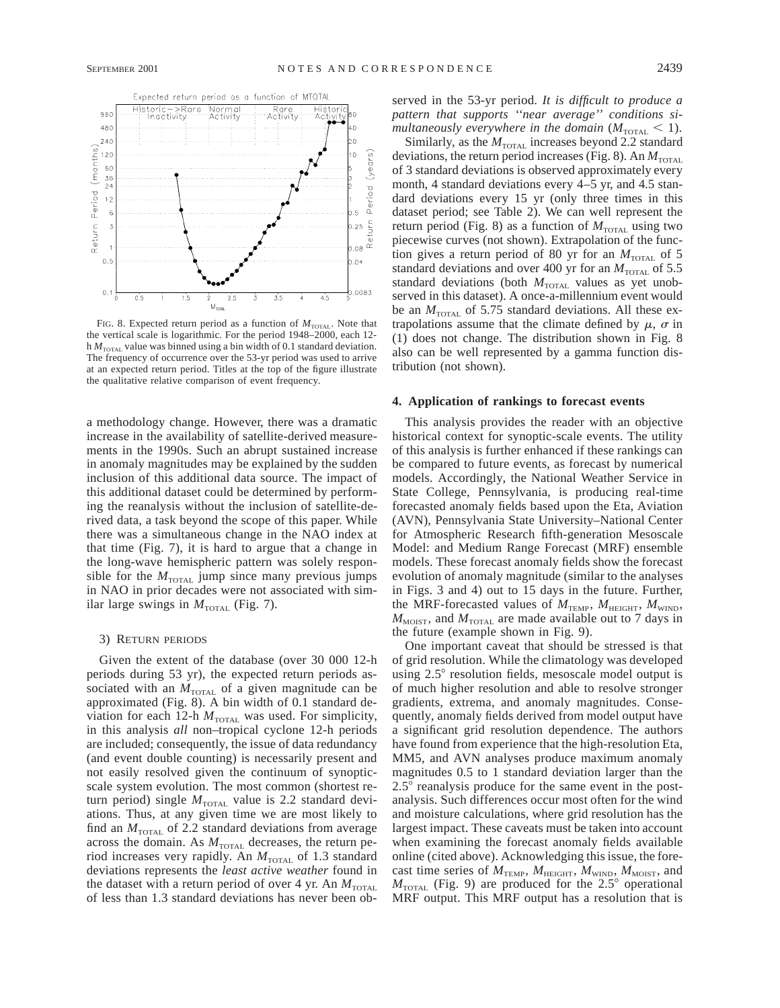

FIG. 8. Expected return period as a function of  $M_{\text{TOTAL}}$ . Note that the vertical scale is logarithmic. For the period 1948–2000, each 12 h  $M_{\text{total}}$  value was binned using a bin width of 0.1 standard deviation. The frequency of occurrence over the 53-yr period was used to arrive at an expected return period. Titles at the top of the figure illustrate the qualitative relative comparison of event frequency.

a methodology change. However, there was a dramatic increase in the availability of satellite-derived measurements in the 1990s. Such an abrupt sustained increase in anomaly magnitudes may be explained by the sudden inclusion of this additional data source. The impact of this additional dataset could be determined by performing the reanalysis without the inclusion of satellite-derived data, a task beyond the scope of this paper. While there was a simultaneous change in the NAO index at that time (Fig. 7), it is hard to argue that a change in the long-wave hemispheric pattern was solely responsible for the  $M_{\text{TOTAL}}$  jump since many previous jumps in NAO in prior decades were not associated with similar large swings in  $M_{\text{TOTAL}}$  (Fig. 7).

# 3) RETURN PERIODS

Given the extent of the database (over 30 000 12-h periods during 53 yr), the expected return periods associated with an  $M_{\text{TOTAL}}$  of a given magnitude can be approximated (Fig. 8). A bin width of 0.1 standard deviation for each 12-h  $M_{\text{TOTAL}}$  was used. For simplicity, in this analysis *all* non–tropical cyclone 12-h periods are included; consequently, the issue of data redundancy (and event double counting) is necessarily present and not easily resolved given the continuum of synopticscale system evolution. The most common (shortest return period) single  $M_{\text{TOTAL}}$  value is 2.2 standard deviations. Thus, at any given time we are most likely to find an  $M_{\text{TOTAL}}$  of 2.2 standard deviations from average across the domain. As  $M_{\text{TOTAL}}$  decreases, the return period increases very rapidly. An  $M_{\text{TOTAL}}$  of 1.3 standard deviations represents the *least active weather* found in the dataset with a return period of over 4 yr. An  $M_{\text{TOTAL}}$ of less than 1.3 standard deviations has never been ob-

served in the 53-yr period. *It is difficult to produce a pattern that supports ''near average'' conditions simultaneously everywhere in the domain*  $(M_{\text{total}} < 1)$ .

Similarly, as the  $M_{\text{TOTAL}}$  increases beyond 2.2 standard deviations, the return period increases (Fig. 8). An  $M_{\text{total}}$ of 3 standard deviations is observed approximately every month, 4 standard deviations every 4–5 yr, and 4.5 standard deviations every 15 yr (only three times in this dataset period; see Table 2). We can well represent the return period (Fig. 8) as a function of  $M_{\text{TOTAL}}$  using two piecewise curves (not shown). Extrapolation of the function gives a return period of 80 yr for an  $M_{\text{TOTAL}}$  of 5 standard deviations and over 400 yr for an  $M_{\text{TOTAL}}$  of 5.5 standard deviations (both  $M_{\text{TOTAL}}$  values as yet unobserved in this dataset). A once-a-millennium event would be an  $M_{\text{TOTAL}}$  of 5.75 standard deviations. All these extrapolations assume that the climate defined by  $\mu$ ,  $\sigma$  in (1) does not change. The distribution shown in Fig. 8 also can be well represented by a gamma function distribution (not shown).

#### **4. Application of rankings to forecast events**

This analysis provides the reader with an objective historical context for synoptic-scale events. The utility of this analysis is further enhanced if these rankings can be compared to future events, as forecast by numerical models. Accordingly, the National Weather Service in State College, Pennsylvania, is producing real-time forecasted anomaly fields based upon the Eta, Aviation (AVN), Pennsylvania State University–National Center for Atmospheric Research fifth-generation Mesoscale Model: and Medium Range Forecast (MRF) ensemble models. These forecast anomaly fields show the forecast evolution of anomaly magnitude (similar to the analyses in Figs. 3 and 4) out to 15 days in the future. Further, the MRF-forecasted values of  $M_{\text{TEMP}}$ ,  $M_{\text{HEIGHT}}$ ,  $M_{\text{WIND}}$ ,  $M_{MolST}$ , and  $M_{\text{TOTAL}}$  are made available out to 7 days in the future (example shown in Fig. 9).

One important caveat that should be stressed is that of grid resolution. While the climatology was developed using  $2.5^{\circ}$  resolution fields, mesoscale model output is of much higher resolution and able to resolve stronger gradients, extrema, and anomaly magnitudes. Consequently, anomaly fields derived from model output have a significant grid resolution dependence. The authors have found from experience that the high-resolution Eta, MM5, and AVN analyses produce maximum anomaly magnitudes 0.5 to 1 standard deviation larger than the  $2.5^{\circ}$  reanalysis produce for the same event in the postanalysis. Such differences occur most often for the wind and moisture calculations, where grid resolution has the largest impact. These caveats must be taken into account when examining the forecast anomaly fields available online (cited above). Acknowledging this issue, the forecast time series of  $M_{\text{TEMP}}$ ,  $M_{\text{HEIGHT}}$ ,  $M_{\text{WIND}}$ ,  $M_{\text{MOIST}}$ , and  $M_{\text{TOTAL}}$  (Fig. 9) are produced for the 2.5° operational MRF output. This MRF output has a resolution that is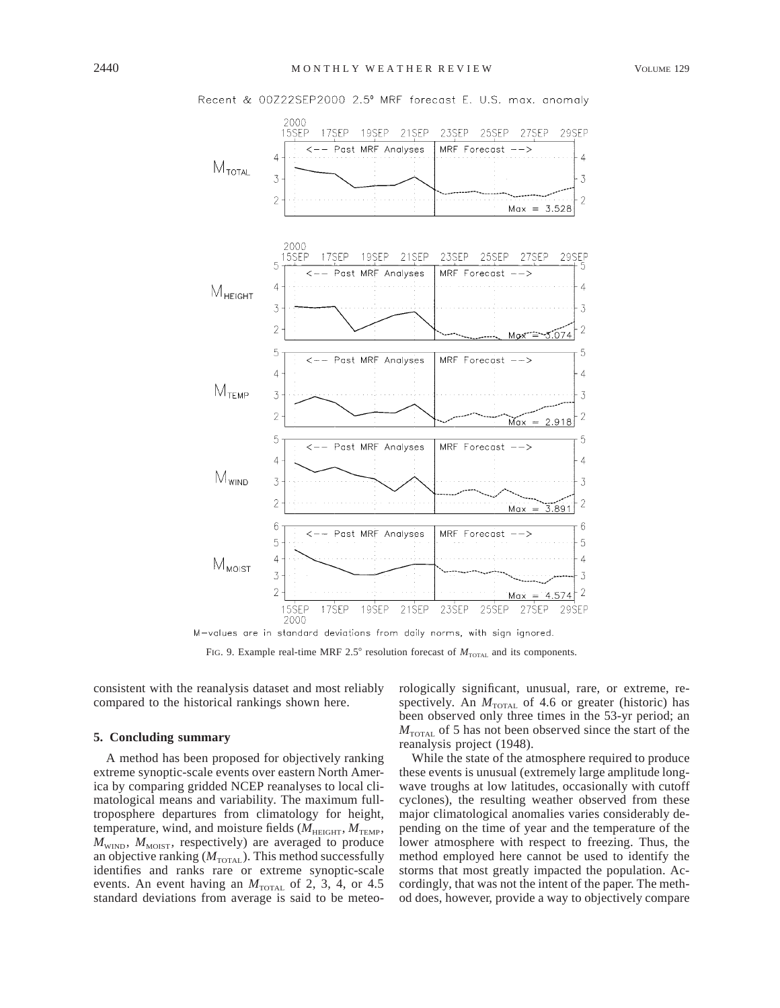

Recent & 00Z22SEP2000 2.5° MRF forecast E. U.S. max. anomaly

FIG. 9. Example real-time MRF 2.5° resolution forecast of  $M_{\text{TOTAL}}$  and its components.

consistent with the reanalysis dataset and most reliably compared to the historical rankings shown here.

#### **5. Concluding summary**

A method has been proposed for objectively ranking extreme synoptic-scale events over eastern North America by comparing gridded NCEP reanalyses to local climatological means and variability. The maximum fulltroposphere departures from climatology for height, temperature, wind, and moisture fields ( $M_{\text{HEIGHT}}$ ,  $M_{\text{TEMP}}$ ,  $M_{\text{WIND}}$ ,  $M_{\text{MOIST}}$ , respectively) are averaged to produce an objective ranking  $(M_{\text{total}})$ . This method successfully identifies and ranks rare or extreme synoptic-scale events. An event having an  $M_{\text{TOTAL}}$  of 2, 3, 4, or 4.5 standard deviations from average is said to be meteorologically significant, unusual, rare, or extreme, respectively. An  $M_{\text{TOTAL}}$  of 4.6 or greater (historic) has been observed only three times in the 53-yr period; an  $M_{\text{total}}$  of 5 has not been observed since the start of the reanalysis project (1948).

While the state of the atmosphere required to produce these events is unusual (extremely large amplitude longwave troughs at low latitudes, occasionally with cutoff cyclones), the resulting weather observed from these major climatological anomalies varies considerably depending on the time of year and the temperature of the lower atmosphere with respect to freezing. Thus, the method employed here cannot be used to identify the storms that most greatly impacted the population. Accordingly, that was not the intent of the paper. The method does, however, provide a way to objectively compare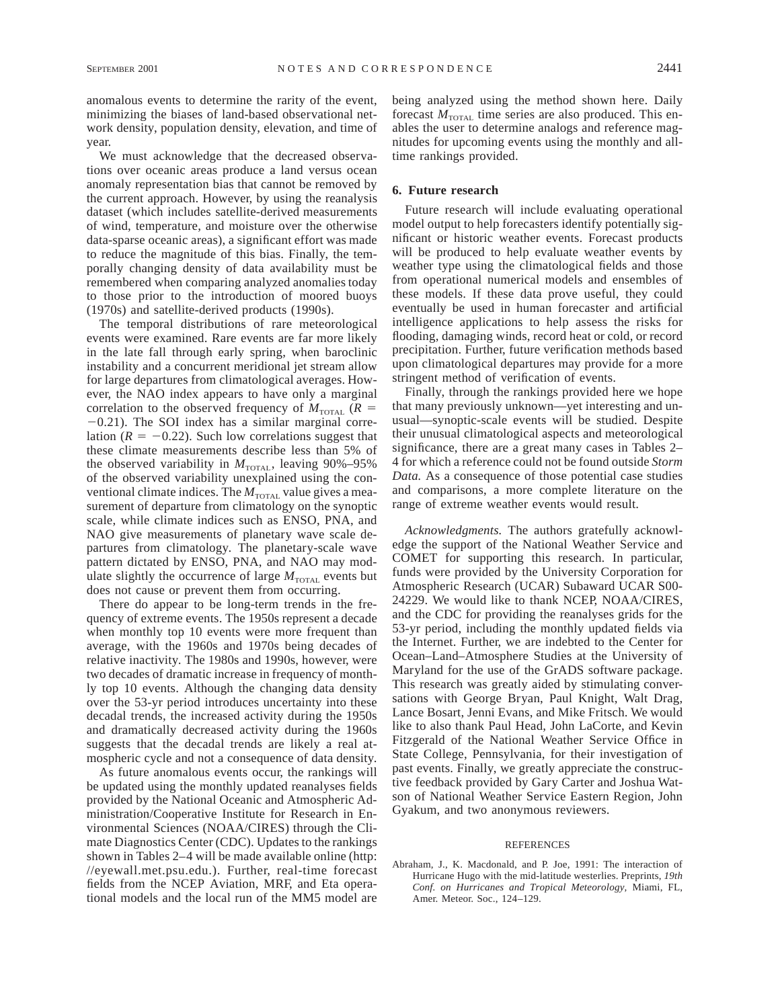anomalous events to determine the rarity of the event, minimizing the biases of land-based observational network density, population density, elevation, and time of year.

We must acknowledge that the decreased observations over oceanic areas produce a land versus ocean anomaly representation bias that cannot be removed by the current approach. However, by using the reanalysis dataset (which includes satellite-derived measurements of wind, temperature, and moisture over the otherwise data-sparse oceanic areas), a significant effort was made to reduce the magnitude of this bias. Finally, the temporally changing density of data availability must be remembered when comparing analyzed anomalies today to those prior to the introduction of moored buoys (1970s) and satellite-derived products (1990s).

The temporal distributions of rare meteorological events were examined. Rare events are far more likely in the late fall through early spring, when baroclinic instability and a concurrent meridional jet stream allow for large departures from climatological averages. However, the NAO index appears to have only a marginal correlation to the observed frequency of  $M_{\text{TOTAL}}$  ( $R =$  $-0.21$ ). The SOI index has a similar marginal correlation  $(R = -0.22)$ . Such low correlations suggest that these climate measurements describe less than 5% of the observed variability in  $M_{\text{TOTAL}}$ , leaving 90%–95% of the observed variability unexplained using the conventional climate indices. The  $M_{\text{total}}$  value gives a measurement of departure from climatology on the synoptic scale, while climate indices such as ENSO, PNA, and NAO give measurements of planetary wave scale departures from climatology. The planetary-scale wave pattern dictated by ENSO, PNA, and NAO may modulate slightly the occurrence of large  $M_{\text{TOTAL}}$  events but does not cause or prevent them from occurring.

There do appear to be long-term trends in the frequency of extreme events. The 1950s represent a decade when monthly top 10 events were more frequent than average, with the 1960s and 1970s being decades of relative inactivity. The 1980s and 1990s, however, were two decades of dramatic increase in frequency of monthly top 10 events. Although the changing data density over the 53-yr period introduces uncertainty into these decadal trends, the increased activity during the 1950s and dramatically decreased activity during the 1960s suggests that the decadal trends are likely a real atmospheric cycle and not a consequence of data density.

As future anomalous events occur, the rankings will be updated using the monthly updated reanalyses fields provided by the National Oceanic and Atmospheric Administration/Cooperative Institute for Research in Environmental Sciences (NOAA/CIRES) through the Climate Diagnostics Center (CDC). Updates to the rankings shown in Tables 2–4 will be made available online (http: //eyewall.met.psu.edu.). Further, real-time forecast fields from the NCEP Aviation, MRF, and Eta operational models and the local run of the MM5 model are being analyzed using the method shown here. Daily forecast  $M_{\text{TOTAL}}$  time series are also produced. This enables the user to determine analogs and reference magnitudes for upcoming events using the monthly and alltime rankings provided.

#### **6. Future research**

Future research will include evaluating operational model output to help forecasters identify potentially significant or historic weather events. Forecast products will be produced to help evaluate weather events by weather type using the climatological fields and those from operational numerical models and ensembles of these models. If these data prove useful, they could eventually be used in human forecaster and artificial intelligence applications to help assess the risks for flooding, damaging winds, record heat or cold, or record precipitation. Further, future verification methods based upon climatological departures may provide for a more stringent method of verification of events.

Finally, through the rankings provided here we hope that many previously unknown—yet interesting and unusual—synoptic-scale events will be studied. Despite their unusual climatological aspects and meteorological significance, there are a great many cases in Tables 2– 4 for which a reference could not be found outside *Storm Data.* As a consequence of those potential case studies and comparisons, a more complete literature on the range of extreme weather events would result.

*Acknowledgments.* The authors gratefully acknowledge the support of the National Weather Service and COMET for supporting this research. In particular, funds were provided by the University Corporation for Atmospheric Research (UCAR) Subaward UCAR S00- 24229. We would like to thank NCEP, NOAA/CIRES, and the CDC for providing the reanalyses grids for the 53-yr period, including the monthly updated fields via the Internet. Further, we are indebted to the Center for Ocean–Land–Atmosphere Studies at the University of Maryland for the use of the GrADS software package. This research was greatly aided by stimulating conversations with George Bryan, Paul Knight, Walt Drag, Lance Bosart, Jenni Evans, and Mike Fritsch. We would like to also thank Paul Head, John LaCorte, and Kevin Fitzgerald of the National Weather Service Office in State College, Pennsylvania, for their investigation of past events. Finally, we greatly appreciate the constructive feedback provided by Gary Carter and Joshua Watson of National Weather Service Eastern Region, John Gyakum, and two anonymous reviewers.

#### **REFERENCES**

Abraham, J., K. Macdonald, and P. Joe, 1991: The interaction of Hurricane Hugo with the mid-latitude westerlies. Preprints, *19th Conf. on Hurricanes and Tropical Meteorology,* Miami, FL, Amer. Meteor. Soc., 124–129.